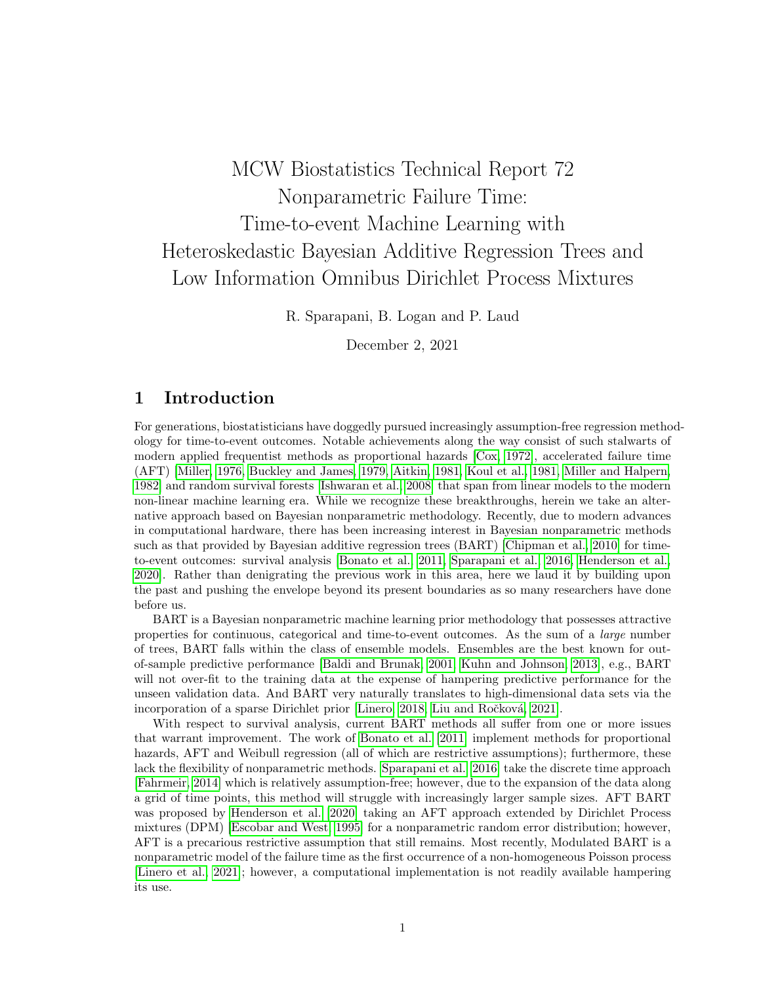# MCW Biostatistics Technical Report 72 Nonparametric Failure Time: Time-to-event Machine Learning with Heteroskedastic Bayesian Additive Regression Trees and Low Information Omnibus Dirichlet Process Mixtures

R. Sparapani, B. Logan and P. Laud

December 2, 2021

# 1 Introduction

For generations, biostatisticians have doggedly pursued increasingly assumption-free regression methodology for time-to-event outcomes. Notable achievements along the way consist of such stalwarts of modern applied frequentist methods as proportional hazards [\[Cox, 1972\]](#page-9-0), accelerated failure time (AFT) [\[Miller, 1976,](#page-11-0) [Buckley and James, 1979,](#page-9-1) [Aitkin, 1981,](#page-8-0) [Koul et al., 1981,](#page-10-0) [Miller and Halpern,](#page-11-1) [1982\]](#page-11-1) and random survival forests [\[Ishwaran et al., 2008\]](#page-10-1) that span from linear models to the modern non-linear machine learning era. While we recognize these breakthroughs, herein we take an alternative approach based on Bayesian nonparametric methodology. Recently, due to modern advances in computational hardware, there has been increasing interest in Bayesian nonparametric methods such as that provided by Bayesian additive regression trees (BART) [\[Chipman et al., 2010\]](#page-9-2) for timeto-event outcomes: survival analysis [\[Bonato et al., 2011,](#page-9-3) [Sparapani et al., 2016,](#page-11-2) [Henderson et al.,](#page-10-2) [2020\]](#page-10-2). Rather than denigrating the previous work in this area, here we laud it by building upon the past and pushing the envelope beyond its present boundaries as so many researchers have done before us.

BART is a Bayesian nonparametric machine learning prior methodology that possesses attractive properties for continuous, categorical and time-to-event outcomes. As the sum of a large number of trees, BART falls within the class of ensemble models. Ensembles are the best known for outof-sample predictive performance [\[Baldi and Brunak, 2001,](#page-8-1) [Kuhn and Johnson, 2013\]](#page-10-3), e.g., BART will not over-fit to the training data at the expense of hampering predictive performance for the unseen validation data. And BART very naturally translates to high-dimensional data sets via the incorporation of a sparse Dirichlet prior [\[Linero, 2018,](#page-10-4) Liu and Ročková, 2021].

With respect to survival analysis, current BART methods all suffer from one or more issues that warrant improvement. The work of [Bonato et al. \[2011\]](#page-9-3) implement methods for proportional hazards, AFT and Weibull regression (all of which are restrictive assumptions); furthermore, these lack the flexibility of nonparametric methods. [Sparapani et al. \[2016\]](#page-11-2) take the discrete time approach [\[Fahrmeir, 2014\]](#page-9-4) which is relatively assumption-free; however, due to the expansion of the data along a grid of time points, this method will struggle with increasingly larger sample sizes. AFT BART was proposed by [Henderson et al. \[2020\]](#page-10-2) taking an AFT approach extended by Dirichlet Process mixtures (DPM) [\[Escobar and West, 1995\]](#page-9-5) for a nonparametric random error distribution; however, AFT is a precarious restrictive assumption that still remains. Most recently, Modulated BART is a nonparametric model of the failure time as the first occurrence of a non-homogeneous Poisson process [\[Linero et al., 2021\]](#page-10-5); however, a computational implementation is not readily available hampering its use.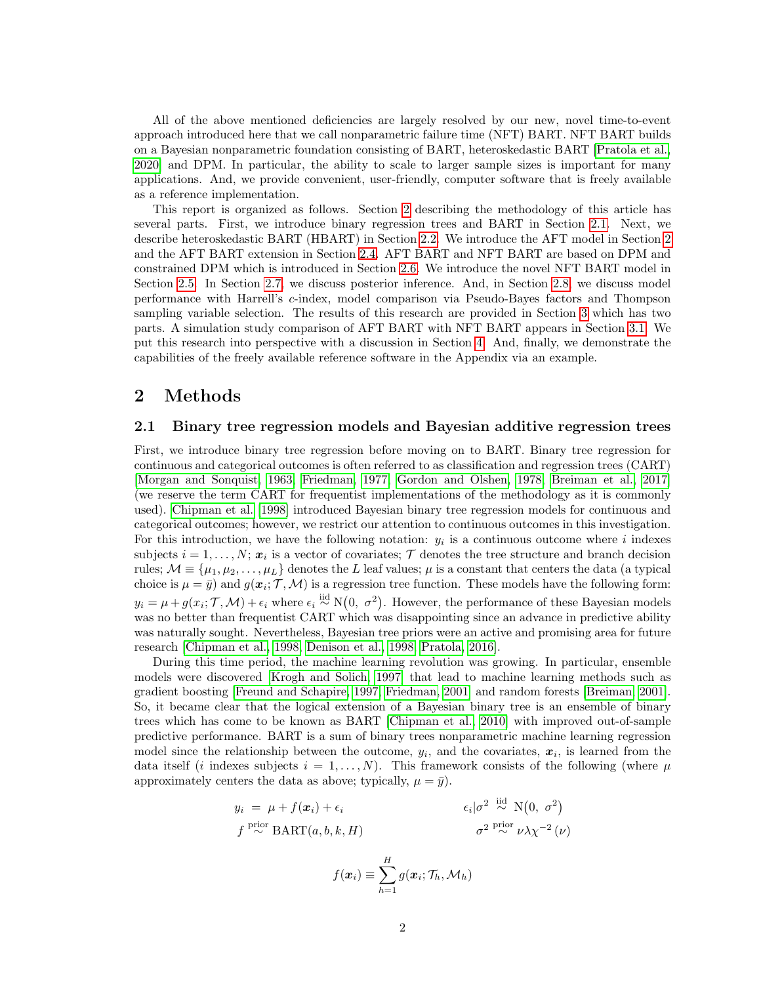All of the above mentioned deficiencies are largely resolved by our new, novel time-to-event approach introduced here that we call nonparametric failure time (NFT) BART. NFT BART builds on a Bayesian nonparametric foundation consisting of BART, heteroskedastic BART [\[Pratola et al.,](#page-11-4) [2020\]](#page-11-4) and DPM. In particular, the ability to scale to larger sample sizes is important for many applications. And, we provide convenient, user-friendly, computer software that is freely available as a reference implementation.

This report is organized as follows. Section [2](#page-1-0) describing the methodology of this article has several parts. First, we introduce binary regression trees and BART in Section [2.1.](#page-1-1) Next, we describe heteroskedastic BART (HBART) in Section [2.2.](#page-2-0) We introduce the AFT model in Section [2](#page-2-1) and the AFT BART extension in Section [2.4.](#page-2-2) AFT BART and NFT BART are based on DPM and constrained DPM which is introduced in Section [2.6.](#page-3-0) We introduce the novel NFT BART model in Section [2.5.](#page-3-1) In Section [2.7,](#page-4-0) we discuss posterior inference. And, in Section [2.8,](#page-5-0) we discuss model performance with Harrell's c-index, model comparison via Pseudo-Bayes factors and Thompson sampling variable selection. The results of this research are provided in Section [3](#page-7-0) which has two parts. A simulation study comparison of AFT BART with NFT BART appears in Section [3.1.](#page-7-1) We put this research into perspective with a discussion in Section [4.](#page-8-2) And, finally, we demonstrate the capabilities of the freely available reference software in the Appendix via an example.

# <span id="page-1-0"></span>2 Methods

### <span id="page-1-1"></span>2.1 Binary tree regression models and Bayesian additive regression trees

First, we introduce binary tree regression before moving on to BART. Binary tree regression for continuous and categorical outcomes is often referred to as classification and regression trees (CART) [\[Morgan and Sonquist, 1963,](#page-11-5) [Friedman, 1977,](#page-9-6) [Gordon and Olshen, 1978,](#page-10-6) [Breiman et al., 2017\]](#page-9-7) (we reserve the term CART for frequentist implementations of the methodology as it is commonly used). [Chipman et al. \[1998\]](#page-9-8) introduced Bayesian binary tree regression models for continuous and categorical outcomes; however, we restrict our attention to continuous outcomes in this investigation. For this introduction, we have the following notation:  $y_i$  is a continuous outcome where i indexes subjects  $i = 1, \ldots, N; x_i$  is a vector of covariates;  $\mathcal{T}$  denotes the tree structure and branch decision rules;  $\mathcal{M} \equiv {\mu_1, \mu_2, \ldots, \mu_L}$  denotes the L leaf values;  $\mu$  is a constant that centers the data (a typical choice is  $\mu = \bar{y}$ ) and  $g(x_i; \mathcal{T}, \mathcal{M})$  is a regression tree function. These models have the following form:  $y_i = \mu + g(x_i; \mathcal{T}, \mathcal{M}) + \epsilon_i$  where  $\epsilon_i \stackrel{\text{iid}}{\sim} N(0, \sigma^2)$ . However, the performance of these Bayesian models was no better than frequentist CART which was disappointing since an advance in predictive ability was naturally sought. Nevertheless, Bayesian tree priors were an active and promising area for future research [\[Chipman et al., 1998,](#page-9-8) [Denison et al., 1998,](#page-9-9) [Pratola, 2016\]](#page-11-6).

During this time period, the machine learning revolution was growing. In particular, ensemble models were discovered [\[Krogh and Solich, 1997\]](#page-10-7) that lead to machine learning methods such as gradient boosting [\[Freund and Schapire, 1997,](#page-9-10) [Friedman, 2001\]](#page-9-11) and random forests [\[Breiman, 2001\]](#page-9-12). So, it became clear that the logical extension of a Bayesian binary tree is an ensemble of binary trees which has come to be known as BART [\[Chipman et al., 2010\]](#page-9-2) with improved out-of-sample predictive performance. BART is a sum of binary trees nonparametric machine learning regression model since the relationship between the outcome,  $y_i$ , and the covariates,  $x_i$ , is learned from the data itself (*i* indexes subjects  $i = 1, \ldots, N$ ). This framework consists of the following (where  $\mu$ approximately centers the data as above; typically,  $\mu = \bar{y}$ ).

$$
y_i = \mu + f(\mathbf{x}_i) + \epsilon_i
$$
  
\n
$$
f \stackrel{\text{prior}}{\sim} \text{BART}(a, b, k, H)
$$
  
\n
$$
f(\mathbf{x}_i) \equiv \sum_{h=1}^H g(\mathbf{x}_i; \mathcal{T}_h, \mathcal{M}_h)
$$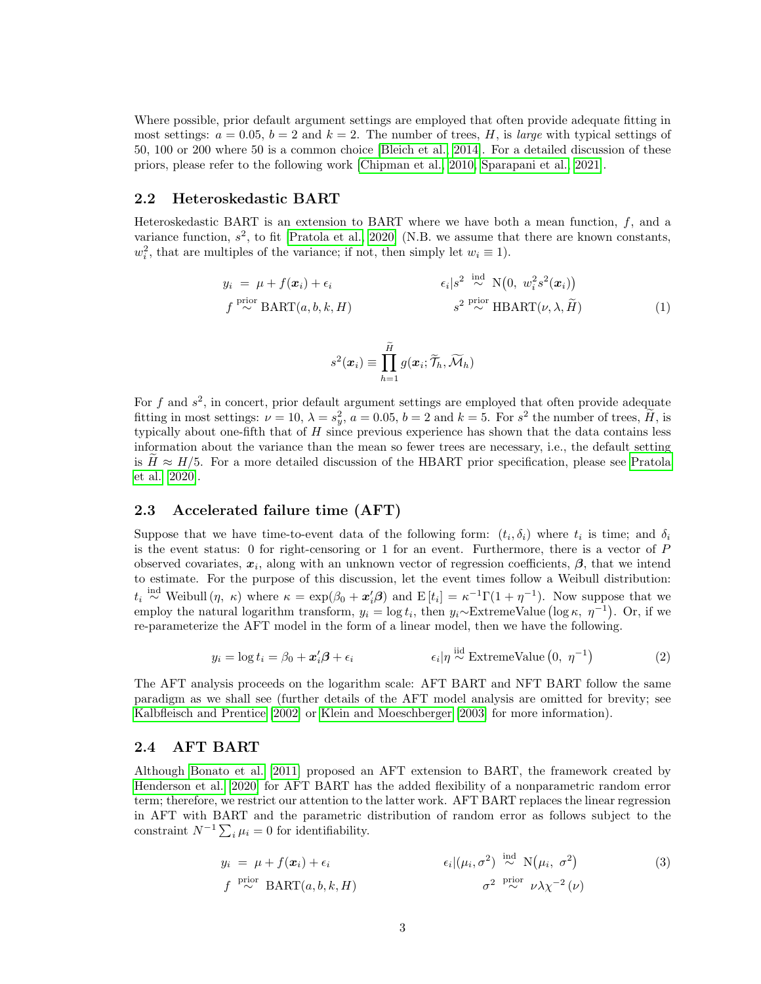Where possible, prior default argument settings are employed that often provide adequate fitting in most settings:  $a = 0.05$ ,  $b = 2$  and  $k = 2$ . The number of trees, H, is *large* with typical settings of 50, 100 or 200 where 50 is a common choice [\[Bleich et al., 2014\]](#page-9-13). For a detailed discussion of these priors, please refer to the following work [\[Chipman et al., 2010,](#page-9-2) [Sparapani et al., 2021\]](#page-11-7).

### <span id="page-2-0"></span>2.2 Heteroskedastic BART

Heteroskedastic BART is an extension to BART where we have both a mean function,  $f$ , and a variance function,  $s^2$ , to fit [\[Pratola et al., 2020\]](#page-11-4) (N.B. we assume that there are known constants,  $w_i^2$ , that are multiples of the variance; if not, then simply let  $w_i \equiv 1$ ).

$$
y_i = \mu + f(\mathbf{x}_i) + \epsilon_i
$$
  
\n
$$
f \stackrel{\text{prior}}{\sim} \text{BART}(a, b, k, H)
$$
  
\n
$$
f \stackrel{\text{prior}}{\sim} \text{BART}(a, b, k, H)
$$
  
\n
$$
g^2 \stackrel{\text{prior}}{\sim} \text{HBART}(\nu, \lambda, \widetilde{H})
$$
  
\n(1)

<span id="page-2-4"></span>
$$
s^2(\boldsymbol{x}_i) \equiv \prod_{h=1}^{\widetilde{H}} g(\boldsymbol{x}_i; \widetilde{\mathcal{T}}_h, \widetilde{\mathcal{M}}_h)
$$

For f and  $s^2$ , in concert, prior default argument settings are employed that often provide adequate fitting in most settings:  $\nu = 10, \lambda = s_y^2, a = 0.05, b = 2 \text{ and } k = 5.$  For  $s^2$  the number of trees,  $\tilde{H}$ , is typically about one-fifth that of  $H$  since previous experience has shown that the data contains less information about the variance than the mean so fewer trees are necessary, i.e., the default setting is  $H \approx H/5$ . For a more detailed discussion of the HBART prior specification, please see [Pratola](#page-11-4) [et al. \[2020\]](#page-11-4).

### 2.3 Accelerated failure time (AFT)

Suppose that we have time-to-event data of the following form:  $(t_i, \delta_i)$  where  $t_i$  is time; and  $\delta_i$ is the event status: 0 for right-censoring or 1 for an event. Furthermore, there is a vector of P observed covariates,  $x_i$ , along with an unknown vector of regression coefficients,  $\beta$ , that we intend to estimate. For the purpose of this discussion, let the event times follow a Weibull distribution:  $t_i \stackrel{\text{ind}}{\sim}$  Weibull  $(\eta, \kappa)$  where  $\kappa = \exp(\beta_0 + \mathbf{x}_i^{\prime} \boldsymbol{\beta})$  and  $E[t_i] = \kappa^{-1} \Gamma(1 + \eta^{-1})$ . Now suppose that we employ the natural logarithm transform,  $y_i = \log t_i$ , then  $y_i \sim \text{ExtremeValue}(\log \kappa, \eta^{-1})$ . Or, if we re-parameterize the AFT model in the form of a linear model, then we have the following.

<span id="page-2-1"></span>
$$
y_i = \log t_i = \beta_0 + \mathbf{x}_i' \mathbf{\beta} + \epsilon_i \qquad \qquad \epsilon_i | \eta \stackrel{\text{iid}}{\sim} \text{ExtremeValue}\left(0, \ \eta^{-1}\right) \tag{2}
$$

The AFT analysis proceeds on the logarithm scale: AFT BART and NFT BART follow the same paradigm as we shall see (further details of the AFT model analysis are omitted for brevity; see [Kalbfleisch and Prentice \[2002\]](#page-10-8) or [Klein and Moeschberger \[2003\]](#page-10-9) for more information).

### <span id="page-2-2"></span>2.4 AFT BART

Although [Bonato et al. \[2011\]](#page-9-3) proposed an AFT extension to BART, the framework created by [Henderson et al. \[2020\]](#page-10-2) for AFT BART has the added flexibility of a nonparametric random error term; therefore, we restrict our attention to the latter work. AFT BART replaces the linear regression in AFT with BART and the parametric distribution of random error as follows subject to the constraint  $N^{-1} \sum_i \mu_i = 0$  for identifiability.

<span id="page-2-3"></span>
$$
y_i = \mu + f(\mathbf{x}_i) + \epsilon_i
$$
  
\n
$$
f \stackrel{\text{prior}}{\sim} \text{BART}(a, b, k, H)
$$
  
\n
$$
f \stackrel{\text{prior}}{\sim} \text{BART}(a, b, k, H)
$$
  
\n
$$
f \stackrel{\text{prior}}{\sim} \text{BART}(a, b, k, H)
$$
  
\n
$$
\sigma^2 \stackrel{\text{prior}}{\sim} \nu \lambda \chi^{-2} (\nu)
$$
 (3)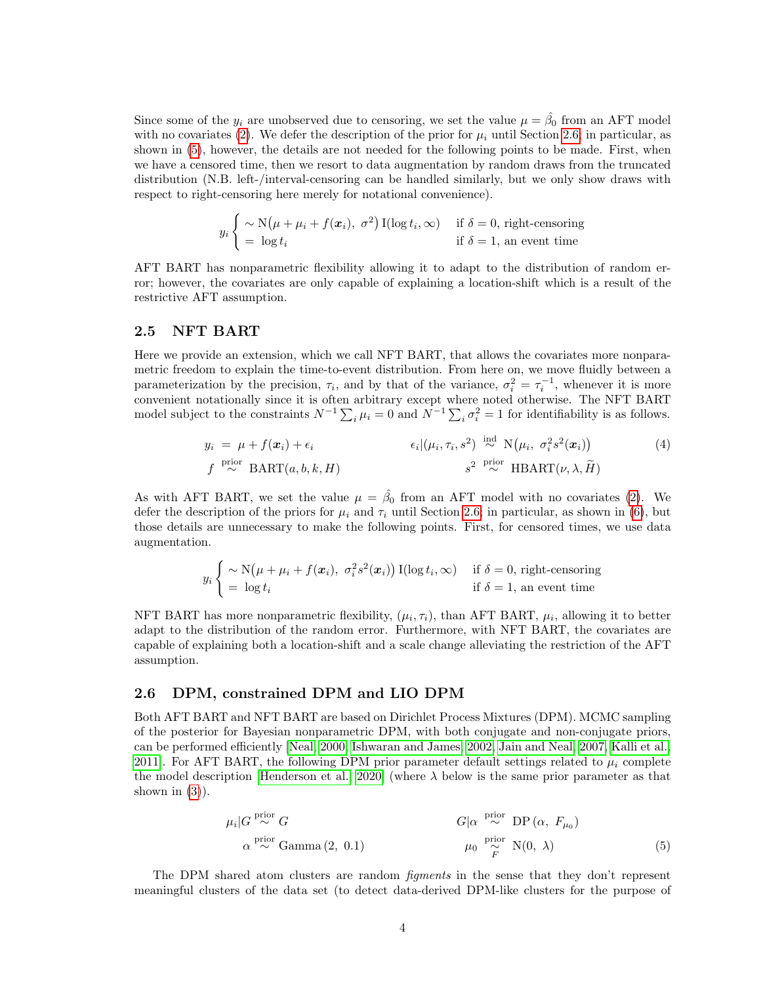Since some of the  $y_i$  are unobserved due to censoring, we set the value  $\mu = \hat{\beta}_0$  from an AFT model with no covariates [\(2\)](#page-2-1). We defer the description of the prior for  $\mu_i$  until Section [2.6;](#page-3-0) in particular, as shown in [\(5\)](#page-3-2), however, the details are not needed for the following points to be made. First, when we have a censored time, then we resort to data augmentation by random draws from the truncated distribution (N.B. left-/interval-censoring can be handled similarly, but we only show draws with respect to right-censoring here merely for notational convenience).

$$
y_i \begin{cases} \sim \mathcal{N}(\mu + \mu_i + f(\boldsymbol{x}_i), \ \sigma^2) \, \mathcal{I}(\log t_i, \infty) & \text{if } \delta = 0 \text{, right-censoring} \\ = \log t_i & \text{if } \delta = 1 \text{, an event time} \end{cases}
$$

AFT BART has nonparametric flexibility allowing it to adapt to the distribution of random error; however, the covariates are only capable of explaining a location-shift which is a result of the restrictive AFT assumption.

### <span id="page-3-1"></span>2.5 NFT BART

Here we provide an extension, which we call NFT BART, that allows the covariates more nonparametric freedom to explain the time-to-event distribution. From here on, we move fluidly between a parameterization by the precision,  $\tau_i$ , and by that of the variance,  $\sigma_i^2 = \tau_i^{-1}$ , whenever it is more convenient notationally since it is often arbitrary except where noted otherwise. The NFT BART model subject to the constraints  $N^{-1} \sum_i \mu_i = 0$  and  $N^{-1} \sum_i \sigma_i^2 = 1$  for identifiability is as follows.

$$
y_i = \mu + f(\mathbf{x}_i) + \epsilon_i \qquad \epsilon_i |(\mu_i, \tau_i, s^2) \stackrel{\text{ind}}{\sim} \mathcal{N}(\mu_i, \sigma_i^2 s^2(\mathbf{x}_i))
$$
(4)  

$$
f \stackrel{\text{prior}}{\sim} \text{BART}(a, b, k, H) \qquad \qquad s^2 \stackrel{\text{prior}}{\sim} \text{HBART}(\nu, \lambda, \widetilde{H})
$$

As with AFT BART, we set the value  $\mu = \hat{\beta}_0$  from an AFT model with no covariates [\(2\)](#page-2-1). We defer the description of the priors for  $\mu_i$  and  $\tau_i$  until Section [2.6;](#page-3-0) in particular, as shown in [\(6\)](#page-4-1), but those details are unnecessary to make the following points. First, for censored times, we use data augmentation.

$$
y_i \begin{cases} \sim \mathcal{N}(\mu + \mu_i + f(\boldsymbol{x}_i), \ \sigma_i^2 s^2(\boldsymbol{x}_i)) \, \mathcal{I}(\log t_i, \infty) & \text{if } \delta = 0 \text{, right-censoring} \\ = \log t_i & \text{if } \delta = 1 \text{, an event time} \end{cases}
$$

NFT BART has more nonparametric flexibility,  $(\mu_i, \tau_i)$ , than AFT BART,  $\mu_i$ , allowing it to better adapt to the distribution of the random error. Furthermore, with NFT BART, the covariates are capable of explaining both a location-shift and a scale change alleviating the restriction of the AFT assumption.

### <span id="page-3-0"></span>2.6 DPM, constrained DPM and LIO DPM

Both AFT BART and NFT BART are based on Dirichlet Process Mixtures (DPM). MCMC sampling of the posterior for Bayesian nonparametric DPM, with both conjugate and non-conjugate priors, can be performed efficiently [\[Neal, 2000,](#page-11-8) [Ishwaran and James, 2002,](#page-10-10) [Jain and Neal, 2007,](#page-10-11) [Kalli et al.,](#page-10-12) [2011\]](#page-10-12). For AFT BART, the following DPM prior parameter default settings related to  $\mu_i$  complete the model description [\[Henderson et al., 2020\]](#page-10-2) (where  $\lambda$  below is the same prior parameter as that shown in  $(3)$ ).

<span id="page-3-2"></span>
$$
\mu_i | G \stackrel{\text{prior}}{\sim} G
$$
\n
$$
\alpha \stackrel{\text{prior}}{\sim} \text{Gamma}(2, 0.1)
$$
\n
$$
\mu_0 \stackrel{\text{prior}}{\sim} N(0, \lambda)
$$
\n(5)

The DPM shared atom clusters are random *figments* in the sense that they don't represent meaningful clusters of the data set (to detect data-derived DPM-like clusters for the purpose of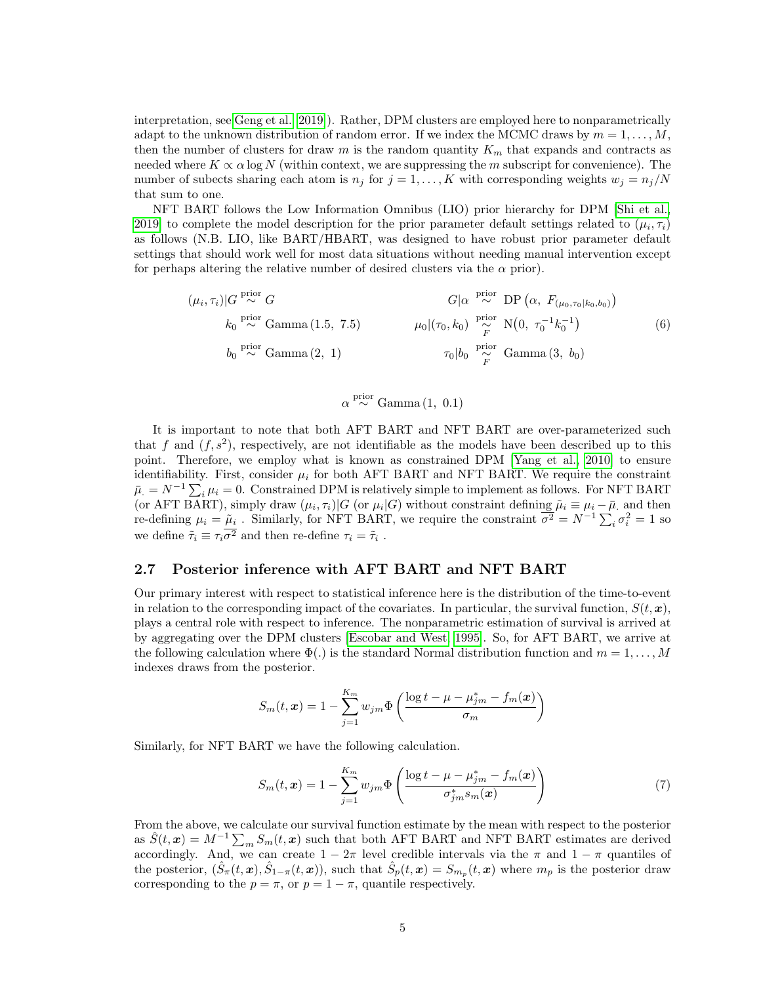interpretation, see [Geng et al. \[2019\]](#page-10-13)). Rather, DPM clusters are employed here to nonparametrically adapt to the unknown distribution of random error. If we index the MCMC draws by  $m = 1, \ldots, M$ , then the number of clusters for draw m is the random quantity  $K_m$  that expands and contracts as needed where  $K \propto \alpha \log N$  (within context, we are suppressing the m subscript for convenience). The number of subects sharing each atom is  $n_j$  for  $j = 1, ..., K$  with corresponding weights  $w_j = n_j/N$ that sum to one.

NFT BART follows the Low Information Omnibus (LIO) prior hierarchy for DPM [\[Shi et al.,](#page-11-9) [2019\]](#page-11-9) to complete the model description for the prior parameter default settings related to  $(\mu_i, \tau_i)$ as follows (N.B. LIO, like BART/HBART, was designed to have robust prior parameter default settings that should work well for most data situations without needing manual intervention except for perhaps altering the relative number of desired clusters via the  $\alpha$  prior).

$$
(\mu_i, \tau_i)|G \stackrel{\text{prior}}{\sim} G
$$
  
\n $k_0 \stackrel{\text{prior}}{\sim} \text{Gamma}(1.5, 7.5)$   
\n $k_0 \stackrel{\text{prior}}{\sim} \text{Gamma}(1.5, 7.5)$   
\n $\mu_0|(\tau_0, k_0) \stackrel{\text{prior}}{\sim} N(0, \tau_0^{-1}k_0^{-1})$   
\n $\sigma_0|k_0 \stackrel{\text{prior}}{\sim} \text{Gamma}(3, b_0)$   
\n $\tau_0|b_0 \stackrel{\text{prior}}{\sim} \text{Gamma}(3, b_0)$   
\n $\tau_0|k_0 \stackrel{\text{prior}}{\sim} \text{Gamma}(3, b_0)$ 

<span id="page-4-1"></span> $\alpha \stackrel{\text{prior}}{\sim} \text{Gamma}(1, 0.1)$ 

It is important to note that both AFT BART and NFT BART are over-parameterized such that f and  $(f, s^2)$ , respectively, are not identifiable as the models have been described up to this point. Therefore, we employ what is known as constrained DPM [\[Yang et al., 2010\]](#page-11-10) to ensure identifiability. First, consider  $\mu_i$  for both AFT BART and NFT BART. We require the constraint  $\bar{\mu}_i = N^{-1} \sum_i \mu_i = 0.$  Constrained DPM is relatively simple to implement as follows. For NFT BART (or AFT BART), simply draw  $(\mu_i, \tau_i)|G$  (or  $\mu_i|G$ ) without constraint defining  $\tilde{\mu}_i \equiv \mu_i - \bar{\mu}$  and then re-defining  $\mu_i = \tilde{\mu}_i$ . Similarly, for NFT BART, we require the constraint  $\overline{\sigma^2} = N^{-1} \sum_i \sigma_i^2 = 1$  so we define  $\tilde{\tau}_i \equiv \tau_i \sigma^2$  and then re-define  $\tau_i = \tilde{\tau}_i$ .

### <span id="page-4-0"></span>2.7 Posterior inference with AFT BART and NFT BART

Our primary interest with respect to statistical inference here is the distribution of the time-to-event in relation to the corresponding impact of the covariates. In particular, the survival function,  $S(t, x)$ , plays a central role with respect to inference. The nonparametric estimation of survival is arrived at by aggregating over the DPM clusters [\[Escobar and West, 1995\]](#page-9-5). So, for AFT BART, we arrive at the following calculation where  $\Phi(.)$  is the standard Normal distribution function and  $m = 1, \ldots, M$ indexes draws from the posterior.

$$
S_m(t, \boldsymbol{x}) = 1 - \sum_{j=1}^{K_m} w_{jm} \Phi\left(\frac{\log t - \mu - \mu_{jm}^* - f_m(\boldsymbol{x})}{\sigma_m}\right)
$$

Similarly, for NFT BART we have the following calculation.

<span id="page-4-2"></span>
$$
S_m(t, \mathbf{x}) = 1 - \sum_{j=1}^{K_m} w_{jm} \Phi\left(\frac{\log t - \mu - \mu_{jm}^* - f_m(\mathbf{x})}{\sigma_{jm}^* s_m(\mathbf{x})}\right)
$$
(7)

From the above, we calculate our survival function estimate by the mean with respect to the posterior as  $\hat{S}(t, x) = M^{-1} \sum_m S_m(t, x)$  such that both AFT BART and NFT BART estimates are derived accordingly. And, we can create  $1 - 2\pi$  level credible intervals via the  $\pi$  and  $1 - \pi$  quantiles of the posterior,  $(\hat{S}_{\pi}(t, x), \hat{S}_{1-\pi}(t, x))$ , such that  $\hat{S}_{p}(t, x) = S_{m_p}(t, x)$  where  $m_p$  is the posterior draw corresponding to the  $p = \pi$ , or  $p = 1 - \pi$ , quantile respectively.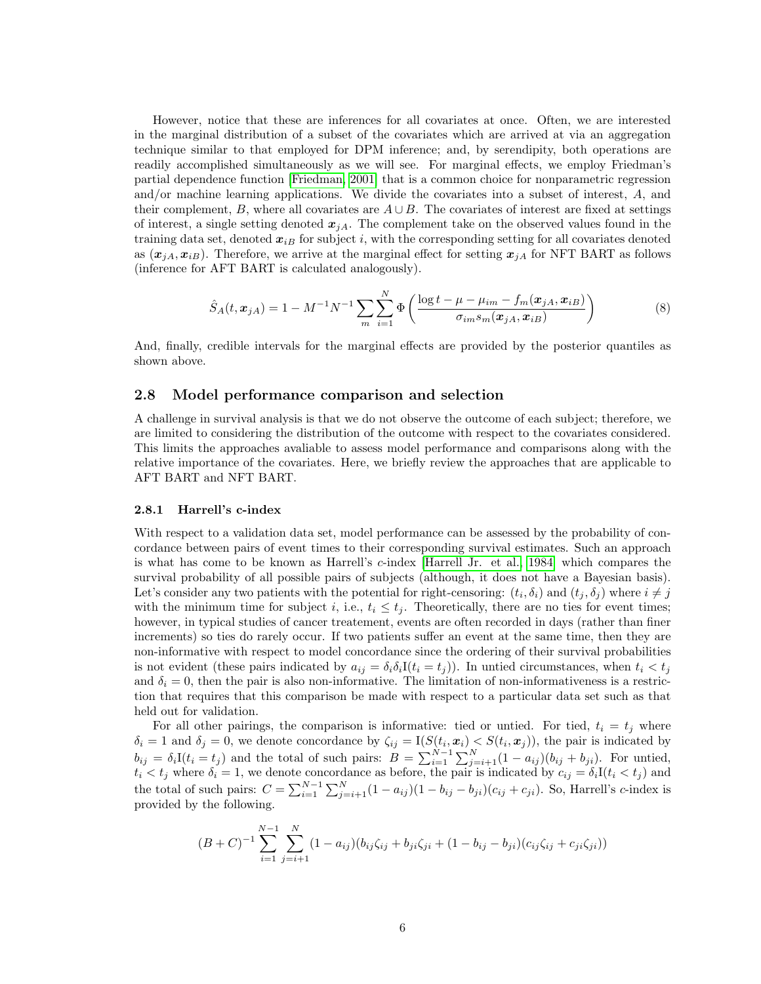However, notice that these are inferences for all covariates at once. Often, we are interested in the marginal distribution of a subset of the covariates which are arrived at via an aggregation technique similar to that employed for DPM inference; and, by serendipity, both operations are readily accomplished simultaneously as we will see. For marginal effects, we employ Friedman's partial dependence function [\[Friedman, 2001\]](#page-9-11) that is a common choice for nonparametric regression and/or machine learning applications. We divide the covariates into a subset of interest, A, and their complement, B, where all covariates are  $A \cup B$ . The covariates of interest are fixed at settings of interest, a single setting denoted  $x_{iA}$ . The complement take on the observed values found in the training data set, denoted  $x_{iB}$  for subject i, with the corresponding setting for all covariates denoted as  $(x_{iA}, x_{iB})$ . Therefore, we arrive at the marginal effect for setting  $x_{iA}$  for NFT BART as follows (inference for AFT BART is calculated analogously).

<span id="page-5-1"></span>
$$
\hat{S}_A(t, x_{jA}) = 1 - M^{-1} N^{-1} \sum_{m} \sum_{i=1}^{N} \Phi\left(\frac{\log t - \mu - \mu_{im} - f_m(x_{jA}, x_{iB})}{\sigma_{im} s_m(x_{jA}, x_{iB})}\right)
$$
(8)

And, finally, credible intervals for the marginal effects are provided by the posterior quantiles as shown above.

### <span id="page-5-0"></span>2.8 Model performance comparison and selection

A challenge in survival analysis is that we do not observe the outcome of each subject; therefore, we are limited to considering the distribution of the outcome with respect to the covariates considered. This limits the approaches avaliable to assess model performance and comparisons along with the relative importance of the covariates. Here, we briefly review the approaches that are applicable to AFT BART and NFT BART.

#### 2.8.1 Harrell's c-index

With respect to a validation data set, model performance can be assessed by the probability of concordance between pairs of event times to their corresponding survival estimates. Such an approach is what has come to be known as Harrell's c-index [\[Harrell Jr. et al., 1984\]](#page-10-14) which compares the survival probability of all possible pairs of subjects (although, it does not have a Bayesian basis). Let's consider any two patients with the potential for right-censoring:  $(t_i, \delta_i)$  and  $(t_j, \delta_j)$  where  $i \neq j$ with the minimum time for subject i, i.e.,  $t_i \leq t_j$ . Theoretically, there are no ties for event times; however, in typical studies of cancer treatement, events are often recorded in days (rather than finer increments) so ties do rarely occur. If two patients suffer an event at the same time, then they are non-informative with respect to model concordance since the ordering of their survival probabilities is not evident (these pairs indicated by  $a_{ij} = \delta_i \delta_i I(t_i = t_j)$ ). In untied circumstances, when  $t_i < t_j$ and  $\delta_i = 0$ , then the pair is also non-informative. The limitation of non-informativeness is a restriction that requires that this comparison be made with respect to a particular data set such as that held out for validation.

For all other pairings, the comparison is informative: tied or untied. For tied,  $t_i = t_j$  where  $\delta_i = 1$  and  $\delta_j = 0$ , we denote concordance by  $\zeta_{ij} = I(S(t_i, x_i) \leq S(t_i, x_j))$ , the pair is indicated by  $b_{ij} = \delta_i I(t_i = t_j)$  and the total of such pairs:  $B = \sum_{i=1}^{N-1} \sum_{j=i+1}^{N} (1 - a_{ij})(b_{ij} + b_{ji})$ . For untied,  $t_i < t_j$  where  $\delta_i = 1$ , we denote concordance as before, the pair is indicated by  $c_{ij} = \delta_i I(t_i < t_j)$  and the total of such pairs:  $C = \sum_{i=1}^{N-1} \sum_{j=i+1}^{N} (1 - a_{ij})(1 - b_{ij} - b_{ji})(c_{ij} + c_{ji})$ . So, Harrell's c-index is provided by the following.

$$
(B+C)^{-1} \sum_{i=1}^{N-1} \sum_{j=i+1}^{N} (1-a_{ij})(b_{ij}\zeta_{ij} + b_{ji}\zeta_{ji} + (1-b_{ij} - b_{ji})(c_{ij}\zeta_{ij} + c_{ji}\zeta_{ji}))
$$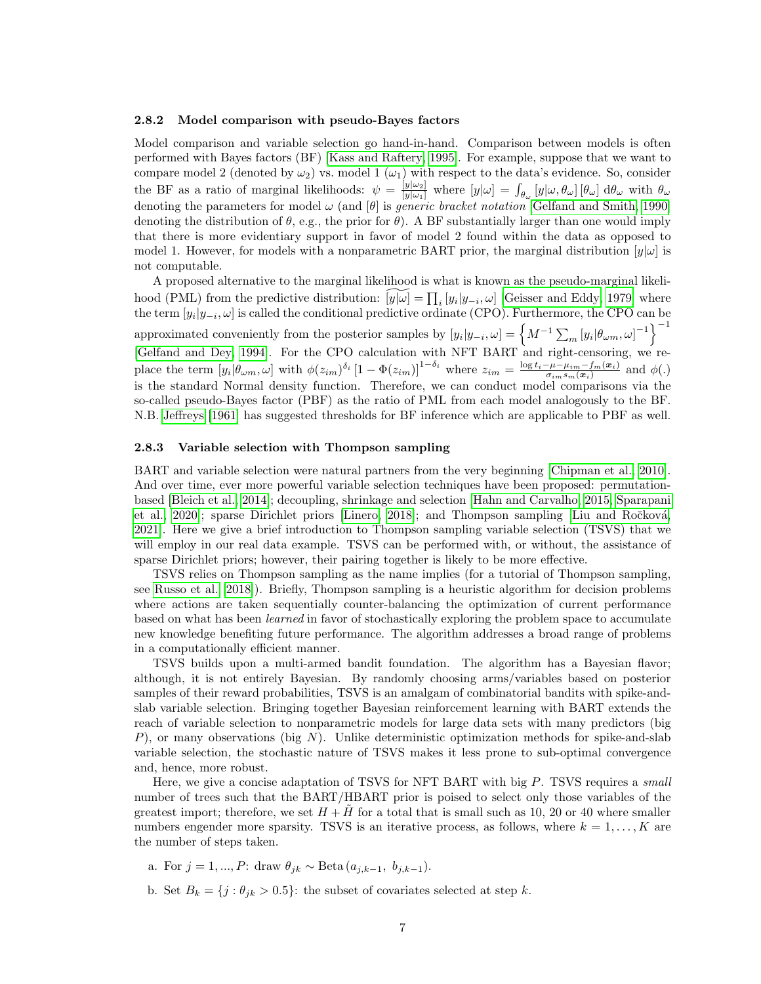#### 2.8.2 Model comparison with pseudo-Bayes factors

Model comparison and variable selection go hand-in-hand. Comparison between models is often performed with Bayes factors (BF) [\[Kass and Raftery, 1995\]](#page-10-15). For example, suppose that we want to compare model 2 (denoted by  $\omega_2$ ) vs. model 1 ( $\omega_1$ ) with respect to the data's evidence. So, consider the BF as a ratio of marginal likelihoods:  $\psi = \frac{y|\omega_2|}{|y|\omega_1|}$  where  $[y|\omega] = \int_{\theta_\omega} [y|\omega, \theta_\omega] [\theta_\omega] d\theta_\omega$  with  $\theta_\omega$ denoting the parameters for model  $\omega$  (and  $[\theta]$  is *generic bracket notation* [\[Gelfand and Smith, 1990\]](#page-9-14) denoting the distribution of  $\theta$ , e.g., the prior for  $\theta$ ). A BF substantially larger than one would imply that there is more evidentiary support in favor of model 2 found within the data as opposed to model 1. However, for models with a nonparametric BART prior, the marginal distribution  $[y|\omega]$  is not computable.

A proposed alternative to the marginal likelihood is what is known as the pseudo-marginal likelihood (PML) from the predictive distribution:  $[\widetilde{y}|\widetilde{\omega}] = \prod_i [y_i|y_{-i}, \omega]$  [\[Geisser and Eddy, 1979\]](#page-9-15) where the term  $[y_i|y_{-i}, \omega]$  is called the conditional predictive ordinate (CPO). Furthermore, the CPO can be approximated conveniently from the posterior samples by  $[y_i|y_{-i}, \omega] = \left\{ M^{-1} \sum_m [y_i|\theta_{\omega m}, \omega]^{-1} \right\}^{-1}$ [\[Gelfand and Dey, 1994\]](#page-9-16). For the CPO calculation with NFT BART and right-censoring, we replace the term  $[y_i|\theta_{\omega m},\omega]$  with  $\phi(z_{im})^{\delta_i} [1-\Phi(z_{im})]^{1-\delta_i}$  where  $z_{im} = \frac{\log t_i - \mu - \mu_{im} - f_m(x_i)}{\sigma_i - \sigma_m(x_i)}$  $\frac{-\mu-\mu_{im}-J_m(\boldsymbol{x}_i)}{\sigma_{im}s_m(\boldsymbol{x}_i)}$  and  $\phi(.)$ is the standard Normal density function. Therefore, we can conduct model comparisons via the so-called pseudo-Bayes factor (PBF) as the ratio of PML from each model analogously to the BF. N.B. [Jeffreys \[1961\]](#page-10-16) has suggested thresholds for BF inference which are applicable to PBF as well.

#### 2.8.3 Variable selection with Thompson sampling

BART and variable selection were natural partners from the very beginning [\[Chipman et al., 2010\]](#page-9-2). And over time, ever more powerful variable selection techniques have been proposed: permutationbased [\[Bleich et al., 2014\]](#page-9-13); decoupling, shrinkage and selection [\[Hahn and Carvalho, 2015,](#page-10-17) [Sparapani](#page-11-11) [et al., 2020\]](#page-11-11); sparse Dirichlet priors [\[Linero, 2018\]](#page-10-4); and Thompson sampling [Liu and Ročková, [2021\]](#page-11-3). Here we give a brief introduction to Thompson sampling variable selection (TSVS) that we will employ in our real data example. TSVS can be performed with, or without, the assistance of sparse Dirichlet priors; however, their pairing together is likely to be more effective.

TSVS relies on Thompson sampling as the name implies (for a tutorial of Thompson sampling, see [Russo et al. \[2018\]](#page-11-12)). Briefly, Thompson sampling is a heuristic algorithm for decision problems where actions are taken sequentially counter-balancing the optimization of current performance based on what has been *learned* in favor of stochastically exploring the problem space to accumulate new knowledge benefiting future performance. The algorithm addresses a broad range of problems in a computationally efficient manner.

TSVS builds upon a multi-armed bandit foundation. The algorithm has a Bayesian flavor; although, it is not entirely Bayesian. By randomly choosing arms/variables based on posterior samples of their reward probabilities, TSVS is an amalgam of combinatorial bandits with spike-andslab variable selection. Bringing together Bayesian reinforcement learning with BART extends the reach of variable selection to nonparametric models for large data sets with many predictors (big P), or many observations (big N). Unlike deterministic optimization methods for spike-and-slab variable selection, the stochastic nature of TSVS makes it less prone to sub-optimal convergence and, hence, more robust.

Here, we give a concise adaptation of TSVS for NFT BART with big P. TSVS requires a *small* number of trees such that the BART/HBART prior is poised to select only those variables of the greatest import; therefore, we set  $H + \tilde{H}$  for a total that is small such as 10, 20 or 40 where smaller numbers engender more sparsity. TSVS is an iterative process, as follows, where  $k = 1, \ldots, K$  are the number of steps taken.

- a. For  $j = 1, ..., P$ : draw  $\theta_{jk} \sim \text{Beta}(a_{j,k-1}, b_{j,k-1})$ .
- b. Set  $B_k = \{j : \theta_{jk} > 0.5\}$ : the subset of covariates selected at step k.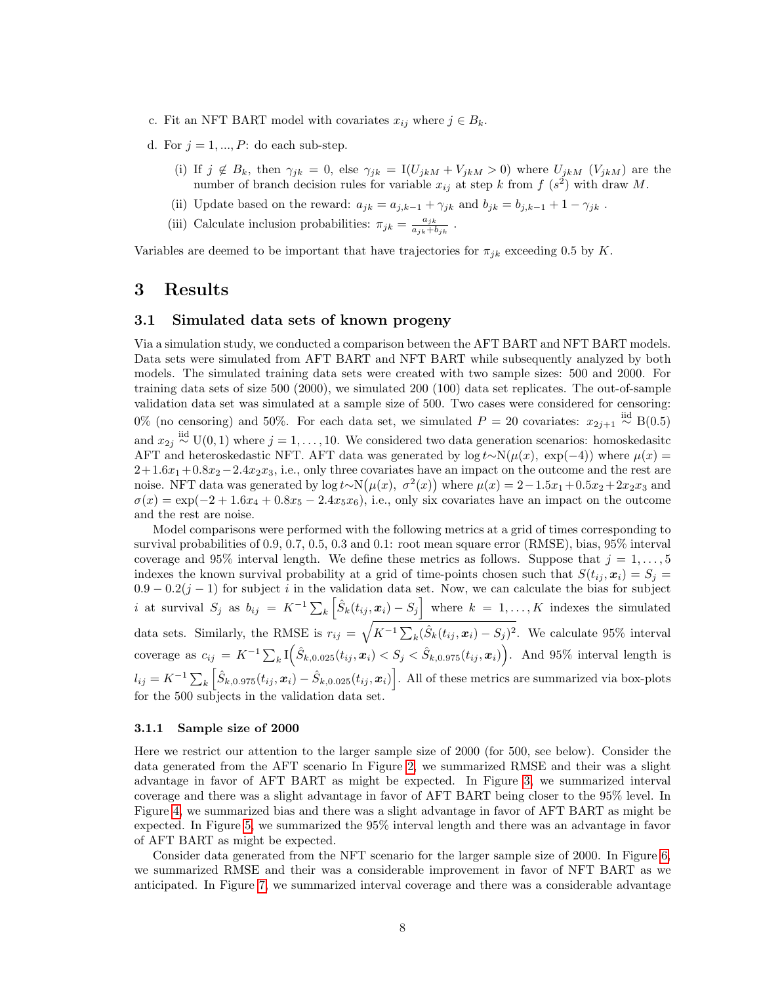- c. Fit an NFT BART model with covariates  $x_{ij}$  where  $j \in B_k$ .
- d. For  $j = 1, ..., P$ : do each sub-step.
	- (i) If  $j \notin B_k$ , then  $\gamma_{jk} = 0$ , else  $\gamma_{jk} = I(U_{jkM} + V_{jkM} > 0)$  where  $U_{jkM}$   $(V_{jkM})$  are the number of branch decision rules for variable  $x_{ij}$  at step k from  $f(s^2)$  with draw M.
	- (ii) Update based on the reward:  $a_{jk} = a_{j,k-1} + \gamma_{jk}$  and  $b_{jk} = b_{j,k-1} + 1 \gamma_{jk}$  .
	- (iii) Calculate inclusion probabilities:  $\pi_{jk} = \frac{a_{jk}}{a_{jk} + l}$  $\frac{a_{jk}}{a_{jk}+b_{jk}}$ .

Variables are deemed to be important that have trajectories for  $\pi_{ik}$  exceeding 0.5 by K.

# <span id="page-7-0"></span>3 Results

### <span id="page-7-1"></span>3.1 Simulated data sets of known progeny

Via a simulation study, we conducted a comparison between the AFT BART and NFT BART models. Data sets were simulated from AFT BART and NFT BART while subsequently analyzed by both models. The simulated training data sets were created with two sample sizes: 500 and 2000. For training data sets of size 500 (2000), we simulated 200 (100) data set replicates. The out-of-sample validation data set was simulated at a sample size of 500. Two cases were considered for censoring: 0% (no censoring) and 50%. For each data set, we simulated  $P = 20$  covariates:  $x_{2j+1} \stackrel{\text{iid}}{\sim} B(0.5)$ and  $x_{2j} \stackrel{iid}{\sim} U(0, 1)$  where  $j = 1, \ldots, 10$ . We considered two data generation scenarios: homoskedasitc AFT and heteroskedastic NFT. AFT data was generated by log  $t~\sim N(\mu(x),~\exp(-4))$  where  $\mu(x)$  $2+1.6x_1+0.8x_2-2.4x_2x_3$ , i.e., only three covariates have an impact on the outcome and the rest are noise. NFT data was generated by log  $t \sim N(\mu(x), \sigma^2(x))$  where  $\mu(x) = 2 - 1.5x_1 + 0.5x_2 + 2x_2x_3$  and  $\sigma(x) = \exp(-2 + 1.6x_4 + 0.8x_5 - 2.4x_5x_6)$ , i.e., only six covariates have an impact on the outcome and the rest are noise.

Model comparisons were performed with the following metrics at a grid of times corresponding to survival probabilities of 0.9, 0.7, 0.5, 0.3 and 0.1: root mean square error (RMSE), bias, 95% interval coverage and 95% interval length. We define these metrics as follows. Suppose that  $j = 1, \ldots, 5$ indexes the known survival probability at a grid of time-points chosen such that  $S(t_i, x_i) = S_i$  $0.9 - 0.2(j - 1)$  for subject i in the validation data set. Now, we can calculate the bias for subject i at survival  $S_j$  as  $b_{ij} = K^{-1} \sum_k \left[ \hat{S}_k(t_{ij}, x_i) - S_j \right]$  where  $k = 1, \ldots, K$  indexes the simulated data sets. Similarly, the RMSE is  $r_{ij} = \sqrt{K^{-1} \sum_{k} (\hat{S}_k(t_{ij}, x_i) - S_j)^2}$ . We calculate 95% interval coverage as  $c_{ij} = K^{-1} \sum_k \mathbb{I}(\hat{S}_{k,0.025}(t_{ij}, x_i) < S_j < \hat{S}_{k,0.975}(t_{ij}, x_i)$ . And 95% interval length is  $l_{ij} = K^{-1} \sum_{k} \left[ \hat{S}_{k,0.975}(t_{ij}, x_i) - \hat{S}_{k,0.025}(t_{ij}, x_i) \right]$ . All of these metrics are summarized via box-plots for the 500 subjects in the validation data set.

#### 3.1.1 Sample size of 2000

Here we restrict our attention to the larger sample size of 2000 (for 500, see below). Consider the data generated from the AFT scenario In Figure [2,](#page-15-0) we summarized RMSE and their was a slight advantage in favor of AFT BART as might be expected. In Figure [3,](#page-16-0) we summarized interval coverage and there was a slight advantage in favor of AFT BART being closer to the 95% level. In Figure [4,](#page-17-0) we summarized bias and there was a slight advantage in favor of AFT BART as might be expected. In Figure [5,](#page-18-0) we summarized the 95% interval length and there was an advantage in favor of AFT BART as might be expected.

Consider data generated from the NFT scenario for the larger sample size of 2000. In Figure [6,](#page-19-0) we summarized RMSE and their was a considerable improvement in favor of NFT BART as we anticipated. In Figure [7,](#page-20-0) we summarized interval coverage and there was a considerable advantage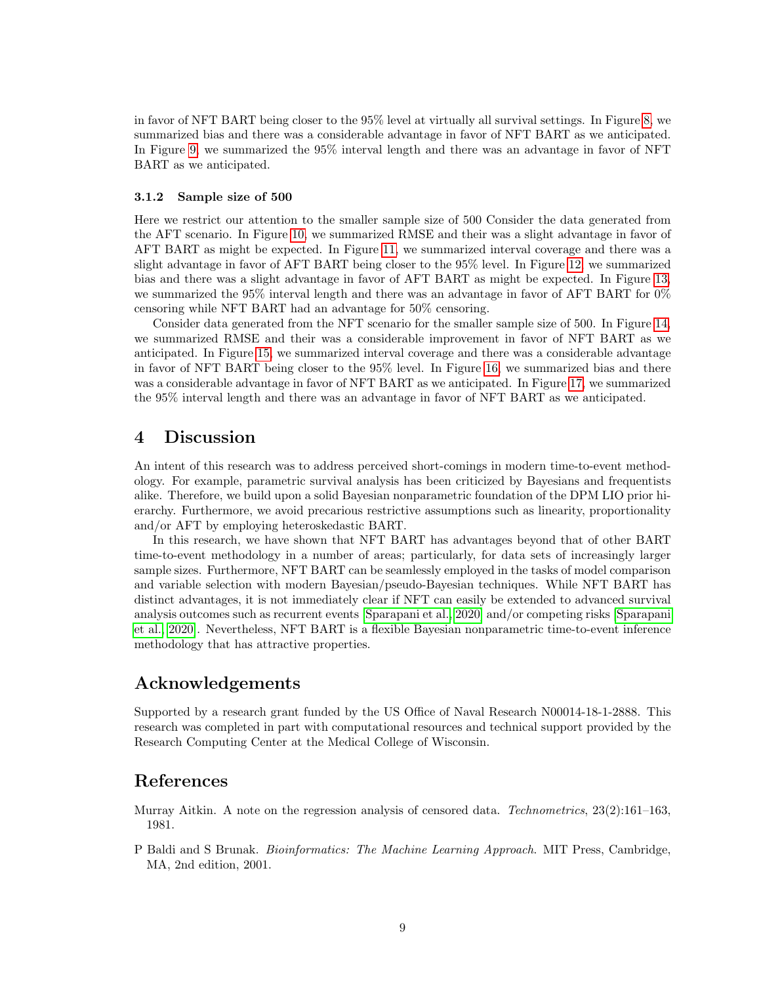in favor of NFT BART being closer to the 95% level at virtually all survival settings. In Figure [8,](#page-21-0) we summarized bias and there was a considerable advantage in favor of NFT BART as we anticipated. In Figure [9,](#page-22-0) we summarized the 95% interval length and there was an advantage in favor of NFT BART as we anticipated.

#### 3.1.2 Sample size of 500

Here we restrict our attention to the smaller sample size of 500 Consider the data generated from the AFT scenario. In Figure [10,](#page-23-0) we summarized RMSE and their was a slight advantage in favor of AFT BART as might be expected. In Figure [11,](#page-24-0) we summarized interval coverage and there was a slight advantage in favor of AFT BART being closer to the 95% level. In Figure [12,](#page-25-0) we summarized bias and there was a slight advantage in favor of AFT BART as might be expected. In Figure [13,](#page-26-0) we summarized the 95% interval length and there was an advantage in favor of AFT BART for 0% censoring while NFT BART had an advantage for 50% censoring.

Consider data generated from the NFT scenario for the smaller sample size of 500. In Figure [14,](#page-27-0) we summarized RMSE and their was a considerable improvement in favor of NFT BART as we anticipated. In Figure [15,](#page-28-0) we summarized interval coverage and there was a considerable advantage in favor of NFT BART being closer to the 95% level. In Figure [16,](#page-29-0) we summarized bias and there was a considerable advantage in favor of NFT BART as we anticipated. In Figure [17,](#page-30-0) we summarized the 95% interval length and there was an advantage in favor of NFT BART as we anticipated.

# <span id="page-8-2"></span>4 Discussion

An intent of this research was to address perceived short-comings in modern time-to-event methodology. For example, parametric survival analysis has been criticized by Bayesians and frequentists alike. Therefore, we build upon a solid Bayesian nonparametric foundation of the DPM LIO prior hierarchy. Furthermore, we avoid precarious restrictive assumptions such as linearity, proportionality and/or AFT by employing heteroskedastic BART.

In this research, we have shown that NFT BART has advantages beyond that of other BART time-to-event methodology in a number of areas; particularly, for data sets of increasingly larger sample sizes. Furthermore, NFT BART can be seamlessly employed in the tasks of model comparison and variable selection with modern Bayesian/pseudo-Bayesian techniques. While NFT BART has distinct advantages, it is not immediately clear if NFT can easily be extended to advanced survival analysis outcomes such as recurrent events [\[Sparapani et al., 2020\]](#page-11-11) and/or competing risks [\[Sparapani](#page-11-11) [et al., 2020\]](#page-11-11). Nevertheless, NFT BART is a flexible Bayesian nonparametric time-to-event inference methodology that has attractive properties.

# Acknowledgements

Supported by a research grant funded by the US Office of Naval Research N00014-18-1-2888. This research was completed in part with computational resources and technical support provided by the Research Computing Center at the Medical College of Wisconsin.

# References

<span id="page-8-0"></span>Murray Aitkin. A note on the regression analysis of censored data. Technometrics,  $23(2):161-163$ , 1981.

<span id="page-8-1"></span>P Baldi and S Brunak. *Bioinformatics: The Machine Learning Approach*. MIT Press, Cambridge, MA, 2nd edition, 2001.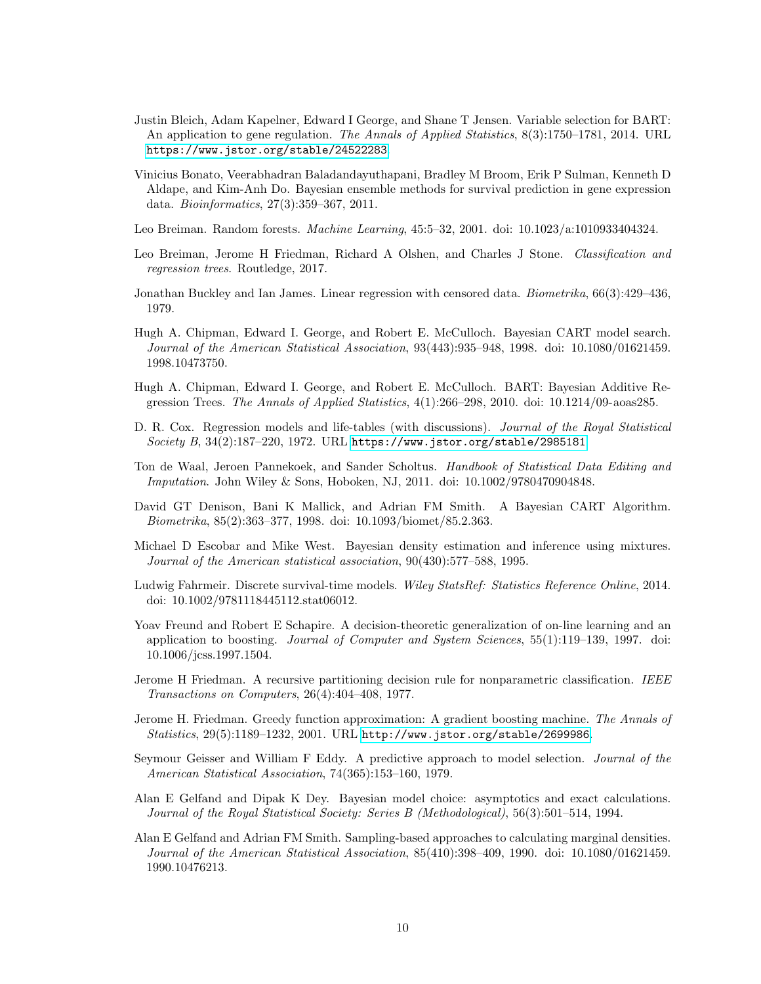- <span id="page-9-13"></span>Justin Bleich, Adam Kapelner, Edward I George, and Shane T Jensen. Variable selection for BART: An application to gene regulation. The Annals of Applied Statistics,  $8(3):1750-1781$ , 2014. URL <https://www.jstor.org/stable/24522283>.
- <span id="page-9-3"></span>Vinicius Bonato, Veerabhadran Baladandayuthapani, Bradley M Broom, Erik P Sulman, Kenneth D Aldape, and Kim-Anh Do. Bayesian ensemble methods for survival prediction in gene expression data. Bioinformatics, 27(3):359–367, 2011.
- <span id="page-9-12"></span>Leo Breiman. Random forests. Machine Learning, 45:5–32, 2001. doi: 10.1023/a:1010933404324.
- <span id="page-9-7"></span>Leo Breiman, Jerome H Friedman, Richard A Olshen, and Charles J Stone. Classification and regression trees. Routledge, 2017.
- <span id="page-9-1"></span>Jonathan Buckley and Ian James. Linear regression with censored data. Biometrika, 66(3):429–436, 1979.
- <span id="page-9-8"></span>Hugh A. Chipman, Edward I. George, and Robert E. McCulloch. Bayesian CART model search. Journal of the American Statistical Association, 93(443):935–948, 1998. doi: 10.1080/01621459. 1998.10473750.
- <span id="page-9-2"></span>Hugh A. Chipman, Edward I. George, and Robert E. McCulloch. BART: Bayesian Additive Regression Trees. The Annals of Applied Statistics,  $4(1):266-298$ ,  $2010$ . doi:  $10.1214/09$ -aoas285.
- <span id="page-9-0"></span>D. R. Cox. Regression models and life-tables (with discussions). Journal of the Royal Statistical Society B,  $34(2):187-220$ , 1972. URL <https://www.jstor.org/stable/2985181>.
- <span id="page-9-17"></span>Ton de Waal, Jeroen Pannekoek, and Sander Scholtus. Handbook of Statistical Data Editing and Imputation. John Wiley & Sons, Hoboken, NJ, 2011. doi: 10.1002/9780470904848.
- <span id="page-9-9"></span>David GT Denison, Bani K Mallick, and Adrian FM Smith. A Bayesian CART Algorithm. Biometrika, 85(2):363–377, 1998. doi: 10.1093/biomet/85.2.363.
- <span id="page-9-5"></span>Michael D Escobar and Mike West. Bayesian density estimation and inference using mixtures. Journal of the American statistical association, 90(430):577–588, 1995.
- <span id="page-9-4"></span>Ludwig Fahrmeir. Discrete survival-time models. Wiley StatsRef: Statistics Reference Online, 2014. doi: 10.1002/9781118445112.stat06012.
- <span id="page-9-10"></span>Yoav Freund and Robert E Schapire. A decision-theoretic generalization of on-line learning and an application to boosting. Journal of Computer and System Sciences, 55(1):119–139, 1997. doi: 10.1006/jcss.1997.1504.
- <span id="page-9-6"></span>Jerome H Friedman. A recursive partitioning decision rule for nonparametric classification. IEEE Transactions on Computers, 26(4):404–408, 1977.
- <span id="page-9-11"></span>Jerome H. Friedman. Greedy function approximation: A gradient boosting machine. The Annals of Statistics, 29(5):1189–1232, 2001. URL <http://www.jstor.org/stable/2699986>.
- <span id="page-9-15"></span>Seymour Geisser and William F Eddy. A predictive approach to model selection. Journal of the American Statistical Association, 74(365):153–160, 1979.
- <span id="page-9-16"></span>Alan E Gelfand and Dipak K Dey. Bayesian model choice: asymptotics and exact calculations. Journal of the Royal Statistical Society: Series B (Methodological), 56(3):501–514, 1994.
- <span id="page-9-14"></span>Alan E Gelfand and Adrian FM Smith. Sampling-based approaches to calculating marginal densities. Journal of the American Statistical Association, 85(410):398–409, 1990. doi: 10.1080/01621459. 1990.10476213.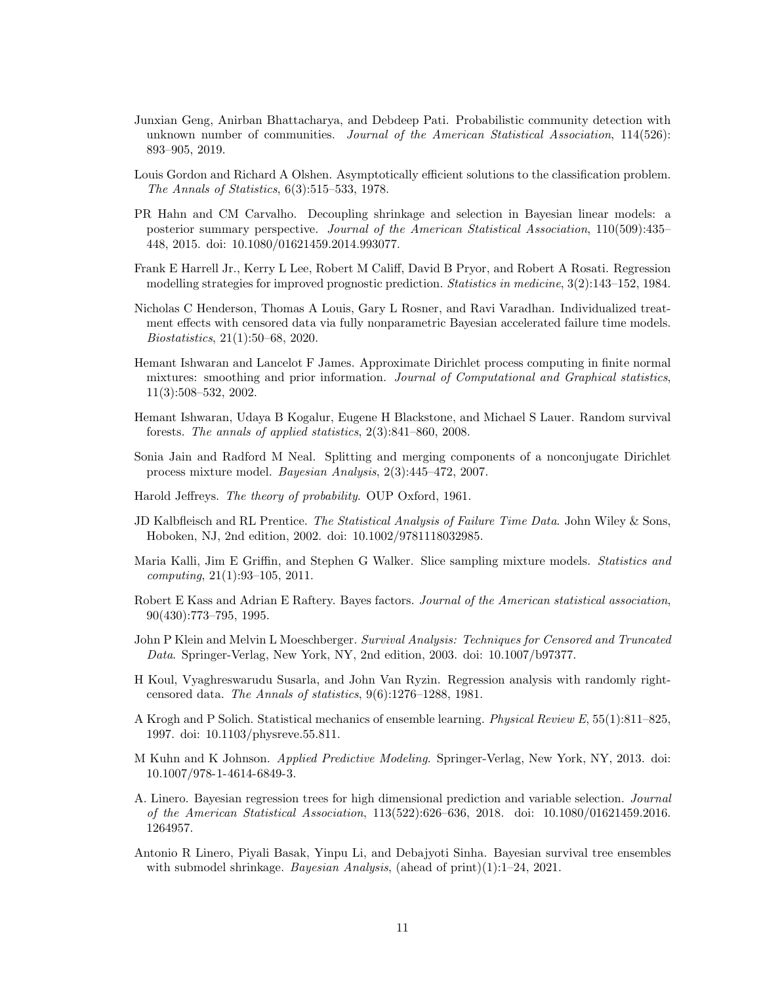- <span id="page-10-13"></span>Junxian Geng, Anirban Bhattacharya, and Debdeep Pati. Probabilistic community detection with unknown number of communities. Journal of the American Statistical Association,  $114(526)$ : 893–905, 2019.
- <span id="page-10-6"></span>Louis Gordon and Richard A Olshen. Asymptotically efficient solutions to the classification problem. The Annals of Statistics, 6(3):515–533, 1978.
- <span id="page-10-17"></span>PR Hahn and CM Carvalho. Decoupling shrinkage and selection in Bayesian linear models: a posterior summary perspective. Journal of the American Statistical Association, 110(509):435– 448, 2015. doi: 10.1080/01621459.2014.993077.
- <span id="page-10-14"></span>Frank E Harrell Jr., Kerry L Lee, Robert M Califf, David B Pryor, and Robert A Rosati. Regression modelling strategies for improved prognostic prediction. Statistics in medicine, 3(2):143–152, 1984.
- <span id="page-10-2"></span>Nicholas C Henderson, Thomas A Louis, Gary L Rosner, and Ravi Varadhan. Individualized treatment effects with censored data via fully nonparametric Bayesian accelerated failure time models. Biostatistics, 21(1):50–68, 2020.
- <span id="page-10-10"></span>Hemant Ishwaran and Lancelot F James. Approximate Dirichlet process computing in finite normal mixtures: smoothing and prior information. Journal of Computational and Graphical statistics, 11(3):508–532, 2002.
- <span id="page-10-1"></span>Hemant Ishwaran, Udaya B Kogalur, Eugene H Blackstone, and Michael S Lauer. Random survival forests. The annals of applied statistics, 2(3):841–860, 2008.
- <span id="page-10-11"></span>Sonia Jain and Radford M Neal. Splitting and merging components of a nonconjugate Dirichlet process mixture model. Bayesian Analysis, 2(3):445–472, 2007.
- <span id="page-10-16"></span>Harold Jeffreys. The theory of probability. OUP Oxford, 1961.
- <span id="page-10-8"></span>JD Kalbfleisch and RL Prentice. The Statistical Analysis of Failure Time Data. John Wiley & Sons, Hoboken, NJ, 2nd edition, 2002. doi: 10.1002/9781118032985.
- <span id="page-10-12"></span>Maria Kalli, Jim E Griffin, and Stephen G Walker. Slice sampling mixture models. Statistics and computing, 21(1):93–105, 2011.
- <span id="page-10-15"></span>Robert E Kass and Adrian E Raftery. Bayes factors. Journal of the American statistical association, 90(430):773–795, 1995.
- <span id="page-10-9"></span>John P Klein and Melvin L Moeschberger. Survival Analysis: Techniques for Censored and Truncated Data. Springer-Verlag, New York, NY, 2nd edition, 2003. doi: 10.1007/b97377.
- <span id="page-10-0"></span>H Koul, Vyaghreswarudu Susarla, and John Van Ryzin. Regression analysis with randomly rightcensored data. The Annals of statistics, 9(6):1276–1288, 1981.
- <span id="page-10-7"></span>A Krogh and P Solich. Statistical mechanics of ensemble learning. Physical Review E, 55(1):811–825, 1997. doi: 10.1103/physreve.55.811.
- <span id="page-10-3"></span>M Kuhn and K Johnson. Applied Predictive Modeling. Springer-Verlag, New York, NY, 2013. doi: 10.1007/978-1-4614-6849-3.
- <span id="page-10-4"></span>A. Linero. Bayesian regression trees for high dimensional prediction and variable selection. Journal of the American Statistical Association, 113(522):626–636, 2018. doi: 10.1080/01621459.2016. 1264957.
- <span id="page-10-5"></span>Antonio R Linero, Piyali Basak, Yinpu Li, and Debajyoti Sinha. Bayesian survival tree ensembles with submodel shrinkage. Bayesian Analysis, (ahead of  $\text{print}(1):1-24$ , 2021.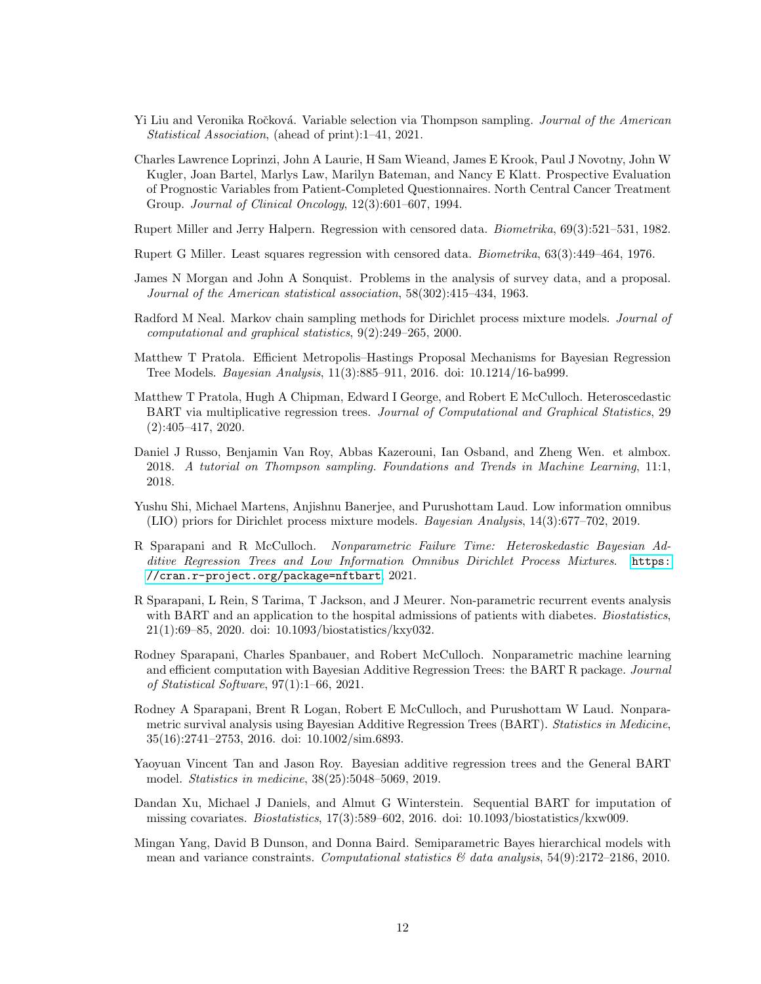- <span id="page-11-3"></span>Yi Liu and Veronika Ročková. Variable selection via Thompson sampling. Journal of the American Statistical Association, (ahead of print):1–41, 2021.
- <span id="page-11-14"></span>Charles Lawrence Loprinzi, John A Laurie, H Sam Wieand, James E Krook, Paul J Novotny, John W Kugler, Joan Bartel, Marlys Law, Marilyn Bateman, and Nancy E Klatt. Prospective Evaluation of Prognostic Variables from Patient-Completed Questionnaires. North Central Cancer Treatment Group. Journal of Clinical Oncology, 12(3):601–607, 1994.
- <span id="page-11-1"></span>Rupert Miller and Jerry Halpern. Regression with censored data. Biometrika, 69(3):521–531, 1982.
- <span id="page-11-0"></span>Rupert G Miller. Least squares regression with censored data. Biometrika, 63(3):449–464, 1976.
- <span id="page-11-5"></span>James N Morgan and John A Sonquist. Problems in the analysis of survey data, and a proposal. Journal of the American statistical association, 58(302):415–434, 1963.
- <span id="page-11-8"></span>Radford M Neal. Markov chain sampling methods for Dirichlet process mixture models. Journal of computational and graphical statistics, 9(2):249–265, 2000.
- <span id="page-11-6"></span>Matthew T Pratola. Efficient Metropolis–Hastings Proposal Mechanisms for Bayesian Regression Tree Models. Bayesian Analysis, 11(3):885–911, 2016. doi: 10.1214/16-ba999.
- <span id="page-11-4"></span>Matthew T Pratola, Hugh A Chipman, Edward I George, and Robert E McCulloch. Heteroscedastic BART via multiplicative regression trees. Journal of Computational and Graphical Statistics, 29 (2):405–417, 2020.
- <span id="page-11-12"></span>Daniel J Russo, Benjamin Van Roy, Abbas Kazerouni, Ian Osband, and Zheng Wen. et almbox. 2018. A tutorial on Thompson sampling. Foundations and Trends in Machine Learning, 11:1, 2018.
- <span id="page-11-9"></span>Yushu Shi, Michael Martens, Anjishnu Banerjee, and Purushottam Laud. Low information omnibus (LIO) priors for Dirichlet process mixture models. Bayesian Analysis, 14(3):677–702, 2019.
- <span id="page-11-13"></span>R Sparapani and R McCulloch. Nonparametric Failure Time: Heteroskedastic Bayesian Additive Regression Trees and Low Information Omnibus Dirichlet Process Mixtures. [https:](https://cran.r-project.org/package=nftbart) [//cran.r-project.org/package=nftbart](https://cran.r-project.org/package=nftbart), 2021.
- <span id="page-11-11"></span>R Sparapani, L Rein, S Tarima, T Jackson, and J Meurer. Non-parametric recurrent events analysis with BART and an application to the hospital admissions of patients with diabetes. *Biostatistics*, 21(1):69–85, 2020. doi: 10.1093/biostatistics/kxy032.
- <span id="page-11-7"></span>Rodney Sparapani, Charles Spanbauer, and Robert McCulloch. Nonparametric machine learning and efficient computation with Bayesian Additive Regression Trees: the BART R package. Journal of Statistical Software, 97(1):1–66, 2021.
- <span id="page-11-2"></span>Rodney A Sparapani, Brent R Logan, Robert E McCulloch, and Purushottam W Laud. Nonparametric survival analysis using Bayesian Additive Regression Trees (BART). Statistics in Medicine, 35(16):2741–2753, 2016. doi: 10.1002/sim.6893.
- <span id="page-11-16"></span>Yaoyuan Vincent Tan and Jason Roy. Bayesian additive regression trees and the General BART model. Statistics in medicine, 38(25):5048–5069, 2019.
- <span id="page-11-15"></span>Dandan Xu, Michael J Daniels, and Almut G Winterstein. Sequential BART for imputation of missing covariates. Biostatistics, 17(3):589–602, 2016. doi: 10.1093/biostatistics/kxw009.
- <span id="page-11-10"></span>Mingan Yang, David B Dunson, and Donna Baird. Semiparametric Bayes hierarchical models with mean and variance constraints. Computational statistics  $\mathcal{B}$  data analysis, 54(9):2172–2186, 2010.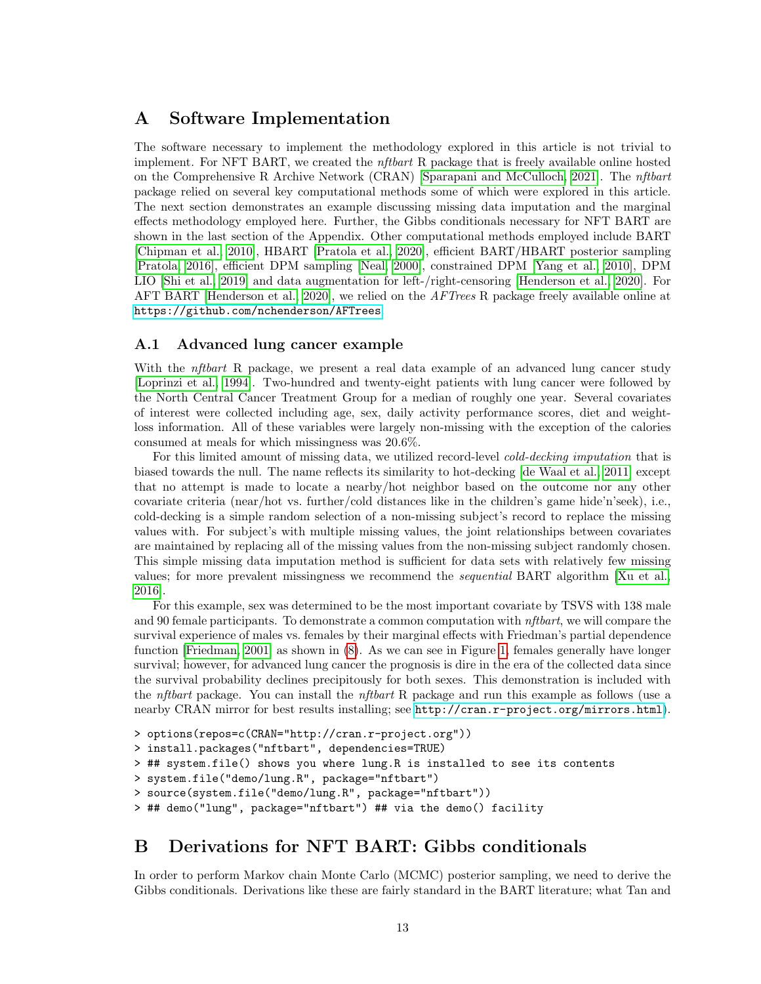# A Software Implementation

The software necessary to implement the methodology explored in this article is not trivial to implement. For NFT BART, we created the nftbart R package that is freely available online hosted on the Comprehensive R Archive Network (CRAN) [\[Sparapani and McCulloch, 2021\]](#page-11-13). The nftbart package relied on several key computational methods some of which were explored in this article. The next section demonstrates an example discussing missing data imputation and the marginal effects methodology employed here. Further, the Gibbs conditionals necessary for NFT BART are shown in the last section of the Appendix. Other computational methods employed include BART [\[Chipman et al., 2010\]](#page-9-2), HBART [\[Pratola et al., 2020\]](#page-11-4), efficient BART/HBART posterior sampling [\[Pratola, 2016\]](#page-11-6), efficient DPM sampling [\[Neal, 2000\]](#page-11-8), constrained DPM [\[Yang et al., 2010\]](#page-11-10), DPM LIO [\[Shi et al., 2019\]](#page-11-9) and data augmentation for left-/right-censoring [\[Henderson et al., 2020\]](#page-10-2). For AFT BART [\[Henderson et al., 2020\]](#page-10-2), we relied on the *AFTrees* R package freely available online at <https://github.com/nchenderson/AFTrees>.

## A.1 Advanced lung cancer example

With the *nftbart* R package, we present a real data example of an advanced lung cancer study [\[Loprinzi et al., 1994\]](#page-11-14). Two-hundred and twenty-eight patients with lung cancer were followed by the North Central Cancer Treatment Group for a median of roughly one year. Several covariates of interest were collected including age, sex, daily activity performance scores, diet and weightloss information. All of these variables were largely non-missing with the exception of the calories consumed at meals for which missingness was 20.6%.

For this limited amount of missing data, we utilized record-level *cold-decking imputation* that is biased towards the null. The name reflects its similarity to hot-decking [\[de Waal et al., 2011\]](#page-9-17) except that no attempt is made to locate a nearby/hot neighbor based on the outcome nor any other covariate criteria (near/hot vs. further/cold distances like in the children's game hide'n'seek), i.e., cold-decking is a simple random selection of a non-missing subject's record to replace the missing values with. For subject's with multiple missing values, the joint relationships between covariates are maintained by replacing all of the missing values from the non-missing subject randomly chosen. This simple missing data imputation method is sufficient for data sets with relatively few missing values; for more prevalent missingness we recommend the sequential BART algorithm [\[Xu et al.,](#page-11-15) [2016\]](#page-11-15).

For this example, sex was determined to be the most important covariate by TSVS with 138 male and 90 female participants. To demonstrate a common computation with *nftbart*, we will compare the survival experience of males vs. females by their marginal effects with Friedman's partial dependence function [\[Friedman, 2001\]](#page-9-11) as shown in [\(8\)](#page-5-1). As we can see in Figure [1,](#page-14-0) females generally have longer survival; however, for advanced lung cancer the prognosis is dire in the era of the collected data since the survival probability declines precipitously for both sexes. This demonstration is included with the nftbart package. You can install the nftbart R package and run this example as follows (use a nearby CRAN mirror for best results installing; see <http://cran.r-project.org/mirrors.html>).

```
> options(repos=c(CRAN="http://cran.r-project.org"))
> install.packages("nftbart", dependencies=TRUE)
> ## system.file() shows you where lung.R is installed to see its contents
> system.file("demo/lung.R", package="nftbart")
> source(system.file("demo/lung.R", package="nftbart"))
> ## demo("lung", package="nftbart") ## via the demo() facility
```
# B Derivations for NFT BART: Gibbs conditionals

In order to perform Markov chain Monte Carlo (MCMC) posterior sampling, we need to derive the Gibbs conditionals. Derivations like these are fairly standard in the BART literature; what Tan and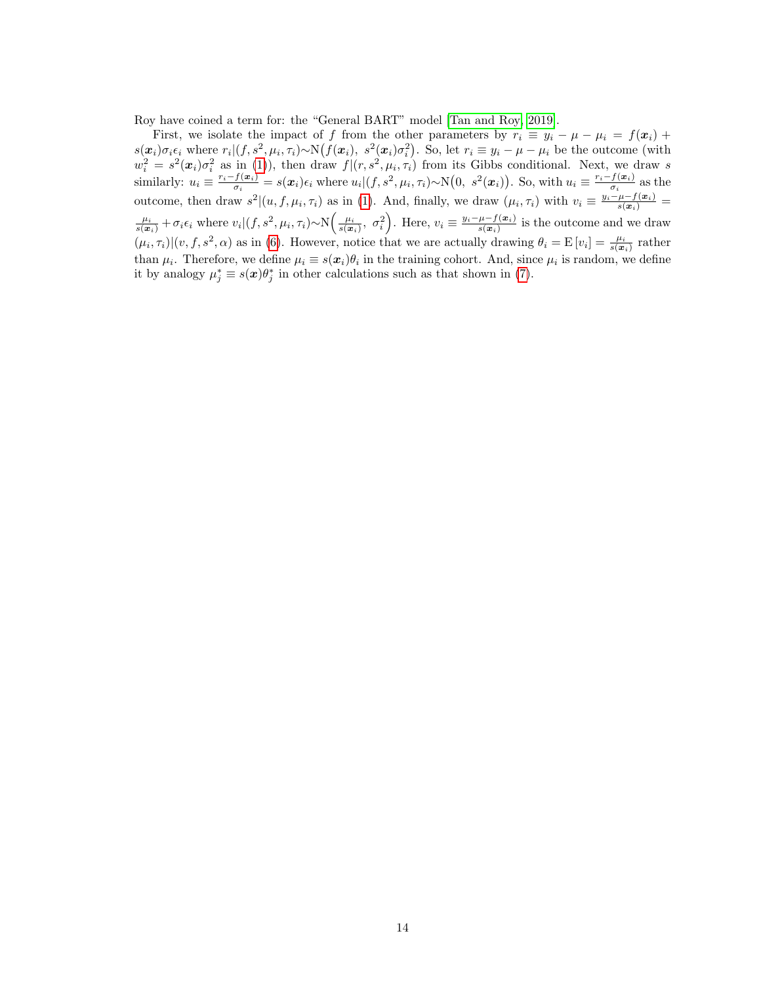Roy have coined a term for: the "General BART" model [\[Tan and Roy, 2019\]](#page-11-16).

First, we isolate the impact of f from the other parameters by  $r_i \equiv y_i - \mu - \mu_i = f(x_i) +$  $s(\boldsymbol{x}_i)\sigma_i\epsilon_i$  where  $r_i|(f, s^2, \mu_i, \tau_i) \sim \mathcal{N}(f(\boldsymbol{x}_i), s^2(\boldsymbol{x}_i)\sigma_i^2)$ . So, let  $r_i \equiv y_i - \mu - \mu_i$  be the outcome (with  $w_i^2 = s^2(\mathbf{x}_i)\sigma_i^2$  as in [\(1\)](#page-2-4)), then draw  $f|(r, s^2, \mu_i, \tau_i)$  from its Gibbs conditional. Next, we draw s similarly:  $u_i \equiv \frac{r_i - f(\boldsymbol{x}_i)}{\sigma_i}$  $\frac{f(x_i)}{\sigma_i} = s(x_i)\epsilon_i$  where  $u_i|(f, s^2, \mu_i, \tau_i) \sim \mathcal{N}(0, s^2(x_i)).$  So, with  $u_i \equiv \frac{r_i - f(x_i)}{\sigma_i}$  $\frac{f(\boldsymbol{x}_i)}{\sigma_i}$  as the outcome, then draw  $s^2|(u, f, \mu_i, \tau_i)$  as in [\(1\)](#page-2-4). And, finally, we draw  $(\mu_i, \tau_i)$  with  $v_i \equiv \frac{y_i - \mu - f(x_i)}{s(x_i)}$  $\frac{\mu_i}{s(x_i)} + \sigma_i \epsilon_i$  where  $v_i|(f, s^2, \mu_i, \tau_i) \sim \mathcal{N}\left(\frac{\mu_i}{s(x_i)}, \sigma_i^2\right)$ . Here,  $v_i \equiv \frac{y_i - \mu - f(x_i)}{s(x_i)}$  $\frac{\mu - f(\boldsymbol{x}_i)}{s(\boldsymbol{x}_i)}$  is the outcome and we draw  $(\mu_i, \tau_i) | (v, f, s^2, \alpha)$  as in [\(6\)](#page-4-1). However, notice that we are actually drawing  $\theta_i = E[v_i] = \frac{\mu_i}{s(x_i)}$  rather than  $\mu_i$ . Therefore, we define  $\mu_i \equiv s(x_i)\theta_i$  in the training cohort. And, since  $\mu_i$  is random, we define it by analogy  $\mu_j^* \equiv s(x)\theta_j^*$  in other calculations such as that shown in [\(7\)](#page-4-2).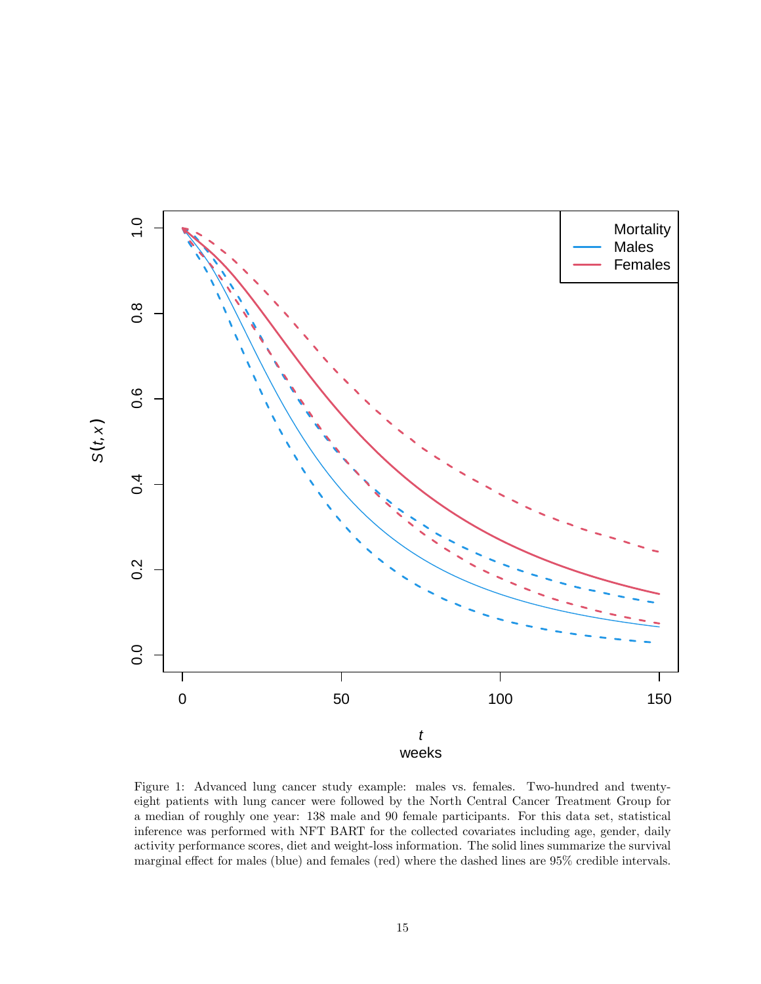

<span id="page-14-0"></span>Figure 1: Advanced lung cancer study example: males vs. females. Two-hundred and twentyeight patients with lung cancer were followed by the North Central Cancer Treatment Group for a median of roughly one year: 138 male and 90 female participants. For this data set, statistical inference was performed with NFT BART for the collected covariates including age, gender, daily activity performance scores, diet and weight-loss information. The solid lines summarize the survival marginal effect for males (blue) and females (red) where the dashed lines are 95% credible intervals.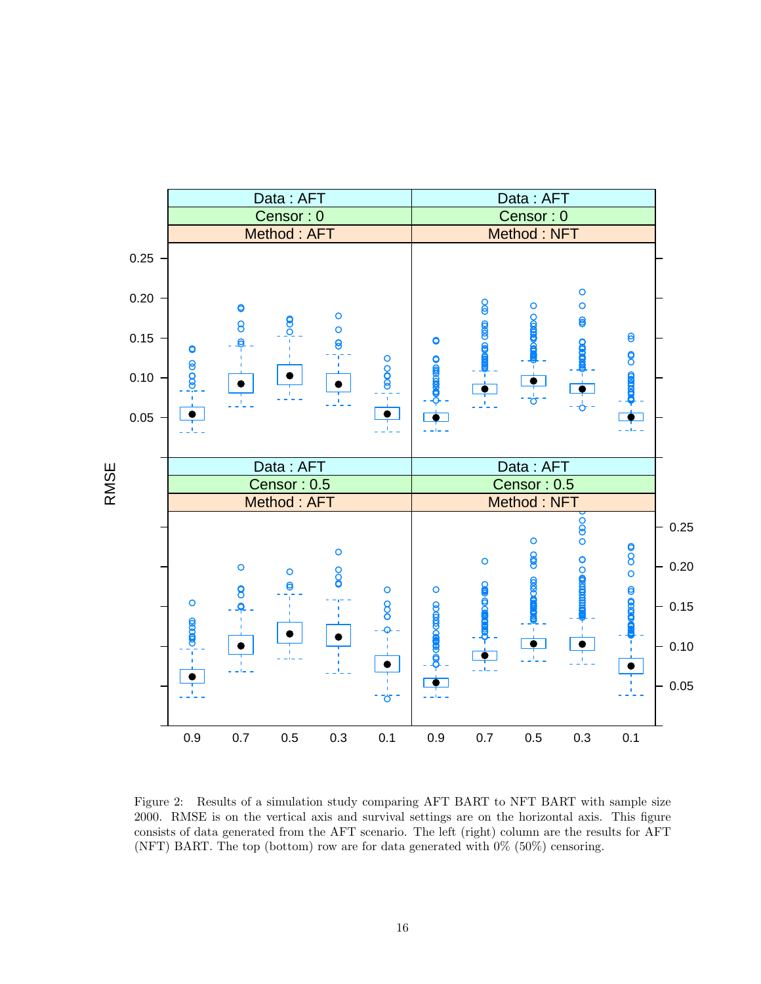

<span id="page-15-0"></span>Figure 2: Results of a simulation study comparing AFT BART to NFT BART with sample size 2000. RMSE is on the vertical axis and survival settings are on the horizontal axis. This figure consists of data generated from the AFT scenario. The left (right) column are the results for AFT (NFT) BART. The top (bottom) row are for data generated with 0% (50%) censoring.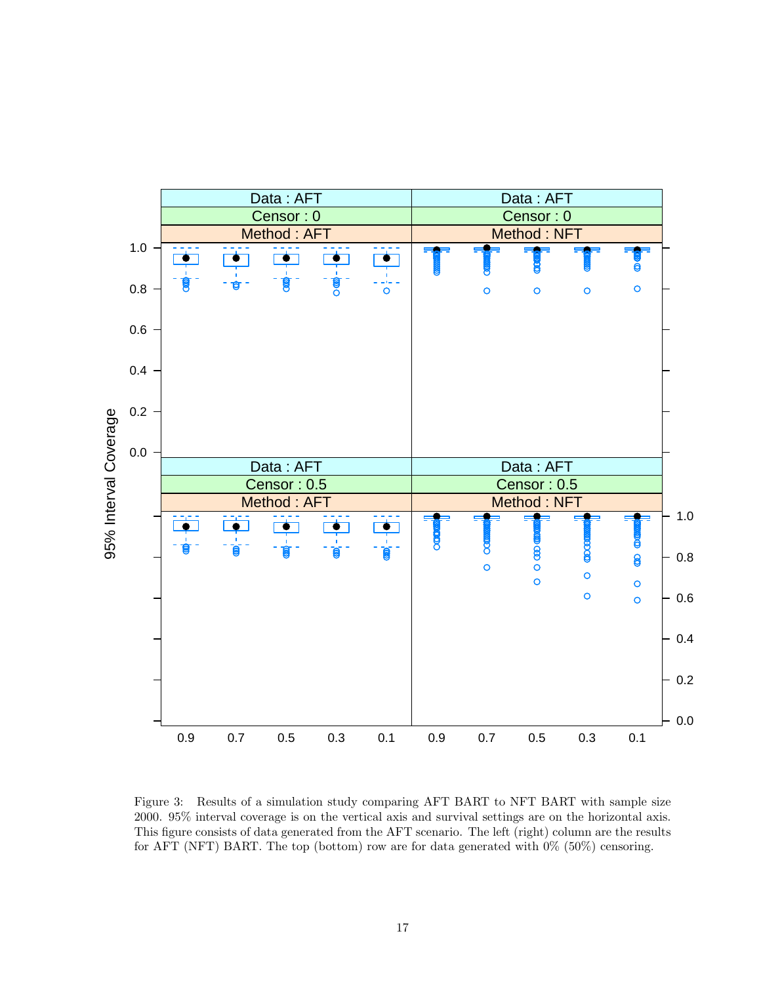

<span id="page-16-0"></span>Figure 3: Results of a simulation study comparing AFT BART to NFT BART with sample size 2000. 95% interval coverage is on the vertical axis and survival settings are on the horizontal axis. This figure consists of data generated from the AFT scenario. The left (right) column are the results for AFT (NFT) BART. The top (bottom) row are for data generated with 0% (50%) censoring.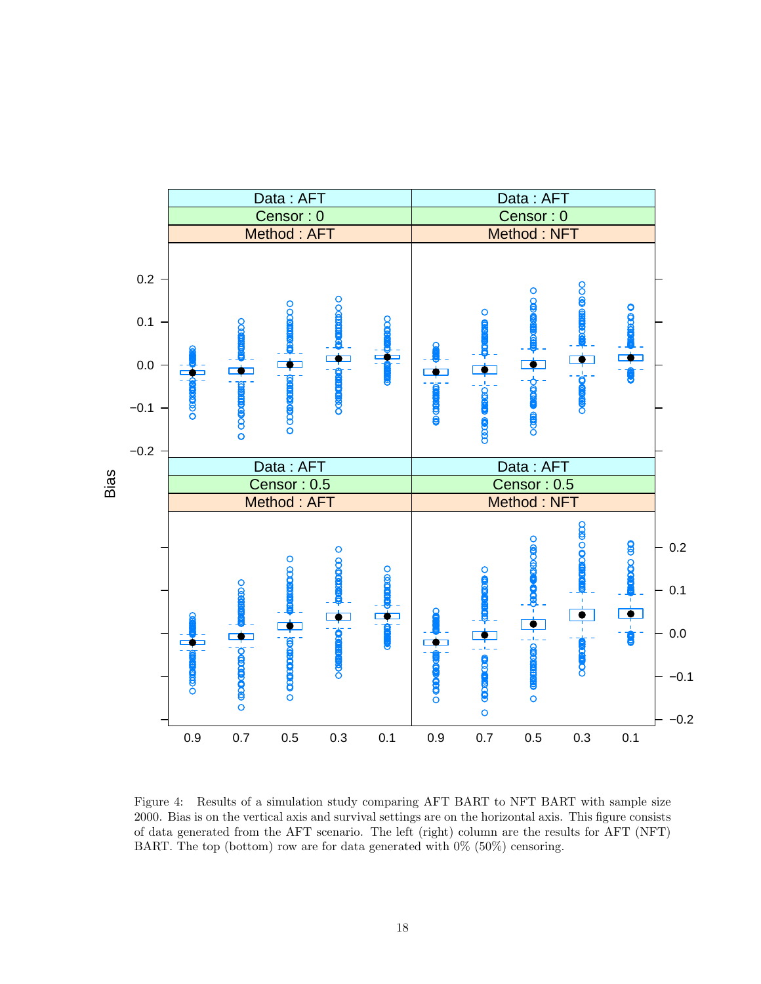

<span id="page-17-0"></span>Figure 4: Results of a simulation study comparing AFT BART to NFT BART with sample size 2000. Bias is on the vertical axis and survival settings are on the horizontal axis. This figure consists of data generated from the AFT scenario. The left (right) column are the results for AFT (NFT) BART. The top (bottom) row are for data generated with  $0\%$  (50%) censoring.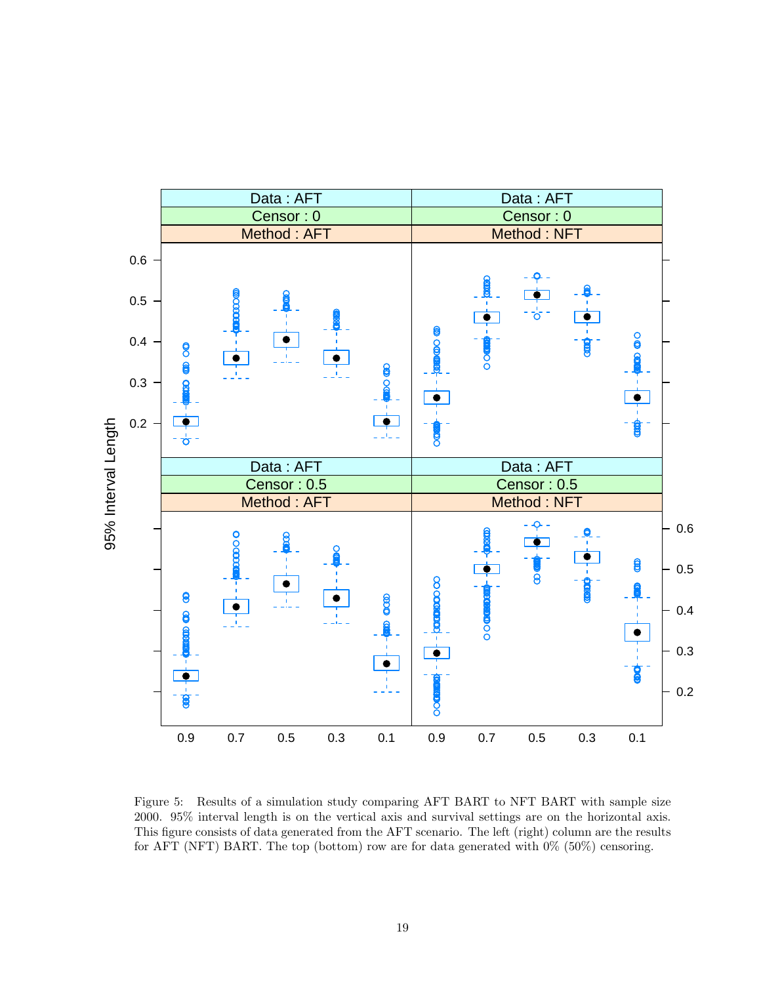

<span id="page-18-0"></span>Figure 5: Results of a simulation study comparing AFT BART to NFT BART with sample size 2000. 95% interval length is on the vertical axis and survival settings are on the horizontal axis. This figure consists of data generated from the AFT scenario. The left (right) column are the results for AFT (NFT) BART. The top (bottom) row are for data generated with 0% (50%) censoring.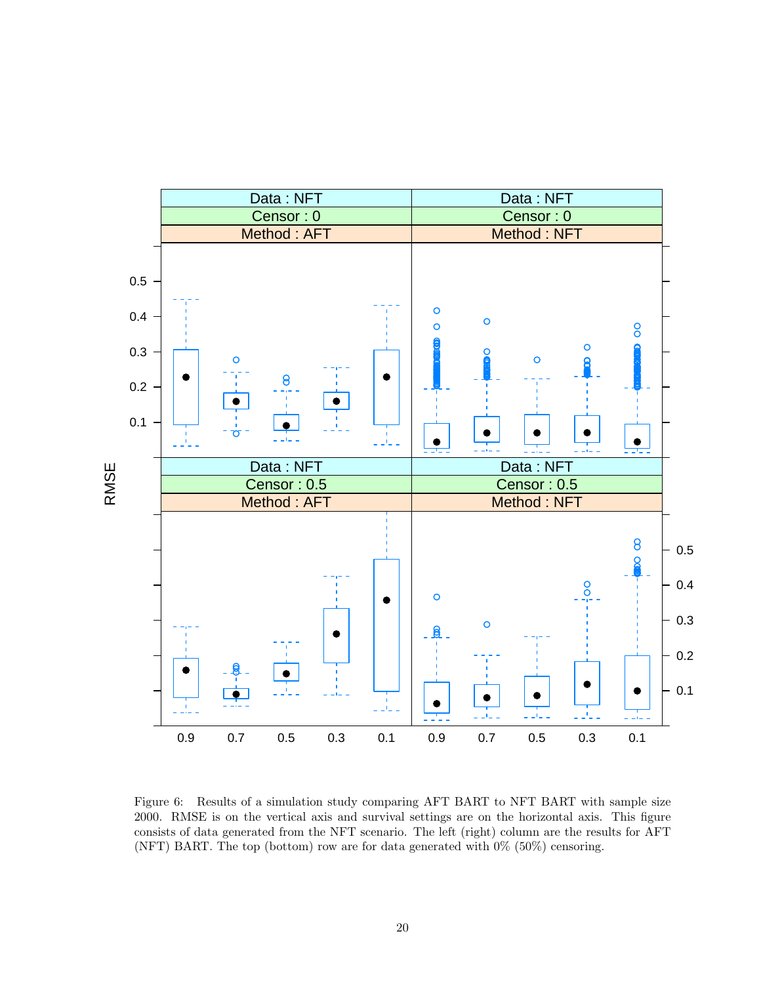

<span id="page-19-0"></span>Figure 6: Results of a simulation study comparing AFT BART to NFT BART with sample size 2000. RMSE is on the vertical axis and survival settings are on the horizontal axis. This figure consists of data generated from the NFT scenario. The left (right) column are the results for AFT (NFT) BART. The top (bottom) row are for data generated with 0% (50%) censoring.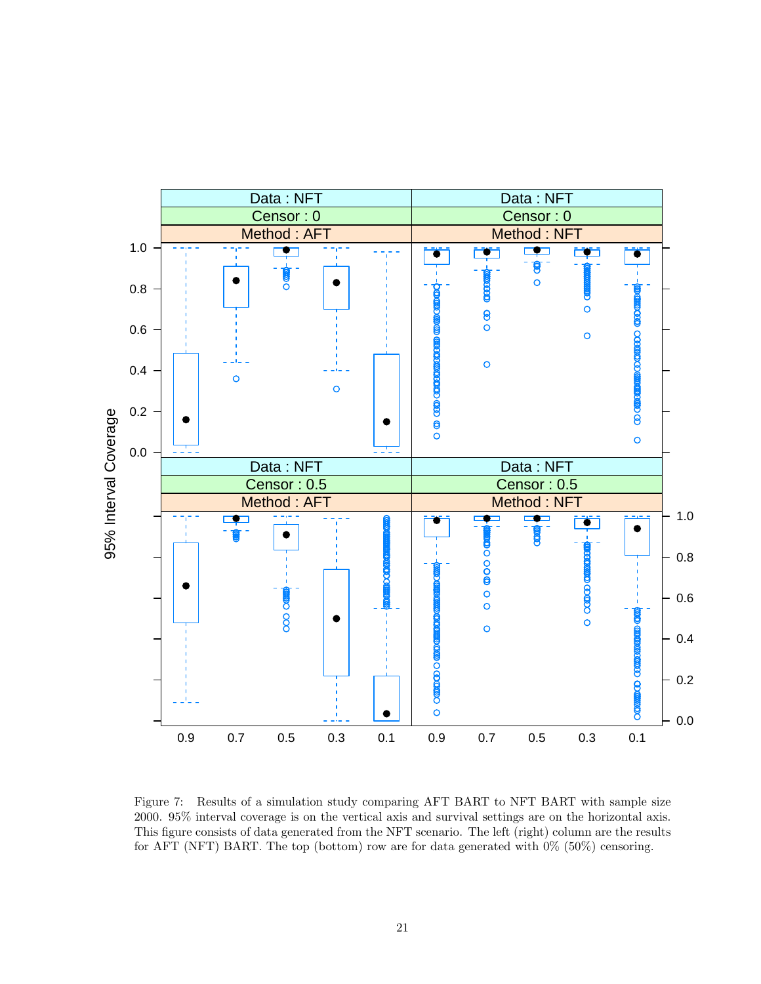

<span id="page-20-0"></span>Figure 7: Results of a simulation study comparing AFT BART to NFT BART with sample size 2000. 95% interval coverage is on the vertical axis and survival settings are on the horizontal axis. This figure consists of data generated from the NFT scenario. The left (right) column are the results for AFT (NFT) BART. The top (bottom) row are for data generated with 0% (50%) censoring.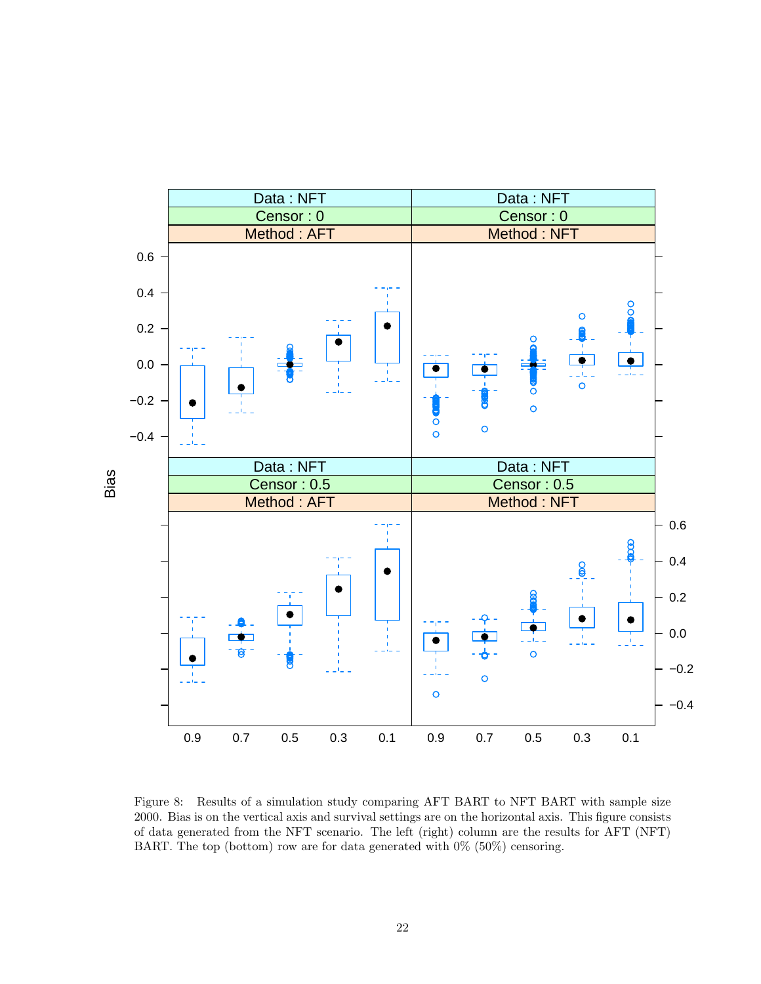

<span id="page-21-0"></span>Figure 8: Results of a simulation study comparing AFT BART to NFT BART with sample size 2000. Bias is on the vertical axis and survival settings are on the horizontal axis. This figure consists of data generated from the NFT scenario. The left (right) column are the results for AFT (NFT) BART. The top (bottom) row are for data generated with  $0\%$  (50%) censoring.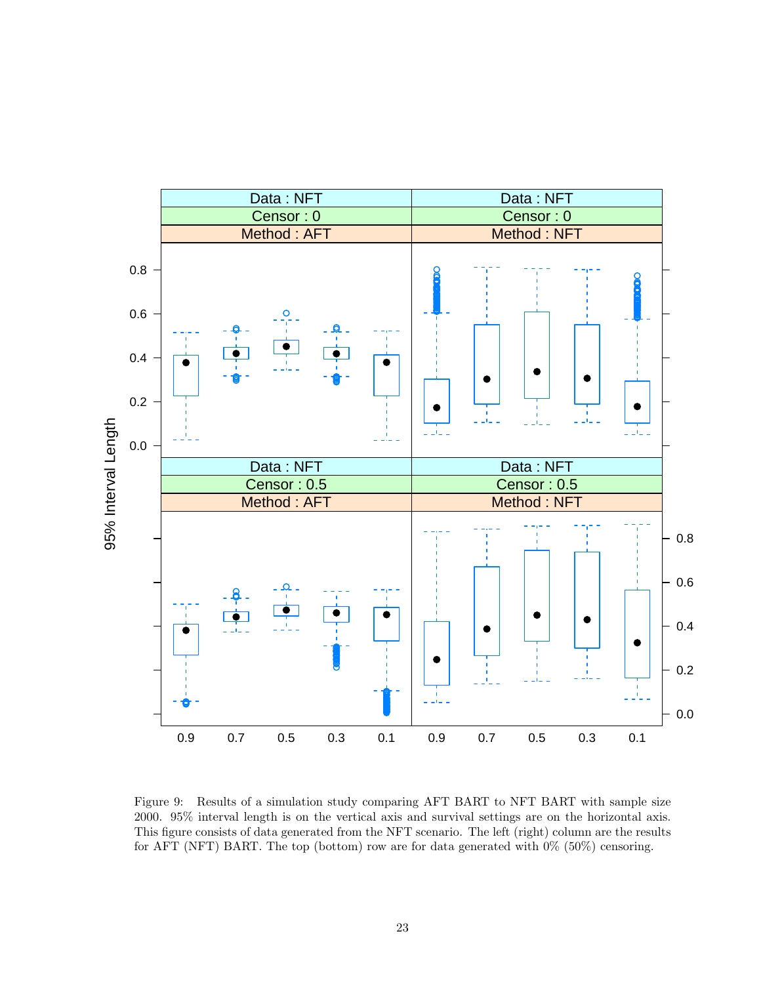

<span id="page-22-0"></span>Figure 9: Results of a simulation study comparing AFT BART to NFT BART with sample size 2000. 95% interval length is on the vertical axis and survival settings are on the horizontal axis. This figure consists of data generated from the NFT scenario. The left (right) column are the results for AFT (NFT) BART. The top (bottom) row are for data generated with 0% (50%) censoring.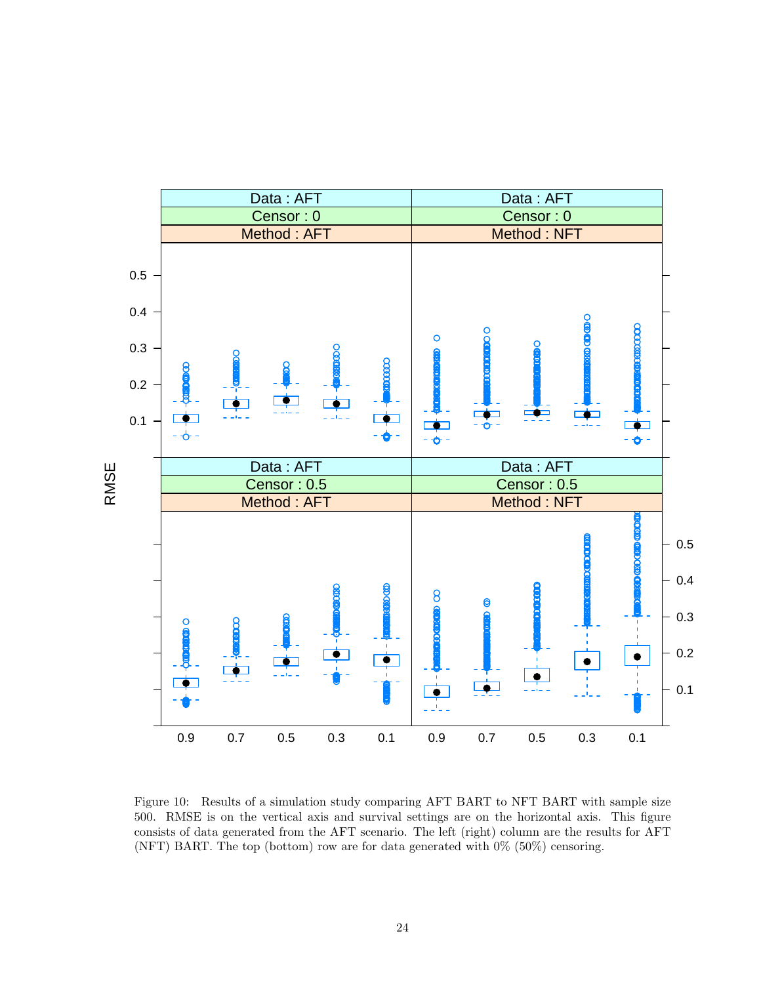

<span id="page-23-0"></span>Figure 10: Results of a simulation study comparing AFT BART to NFT BART with sample size 500. RMSE is on the vertical axis and survival settings are on the horizontal axis. This figure consists of data generated from the AFT scenario. The left (right) column are the results for AFT (NFT) BART. The top (bottom) row are for data generated with 0% (50%) censoring.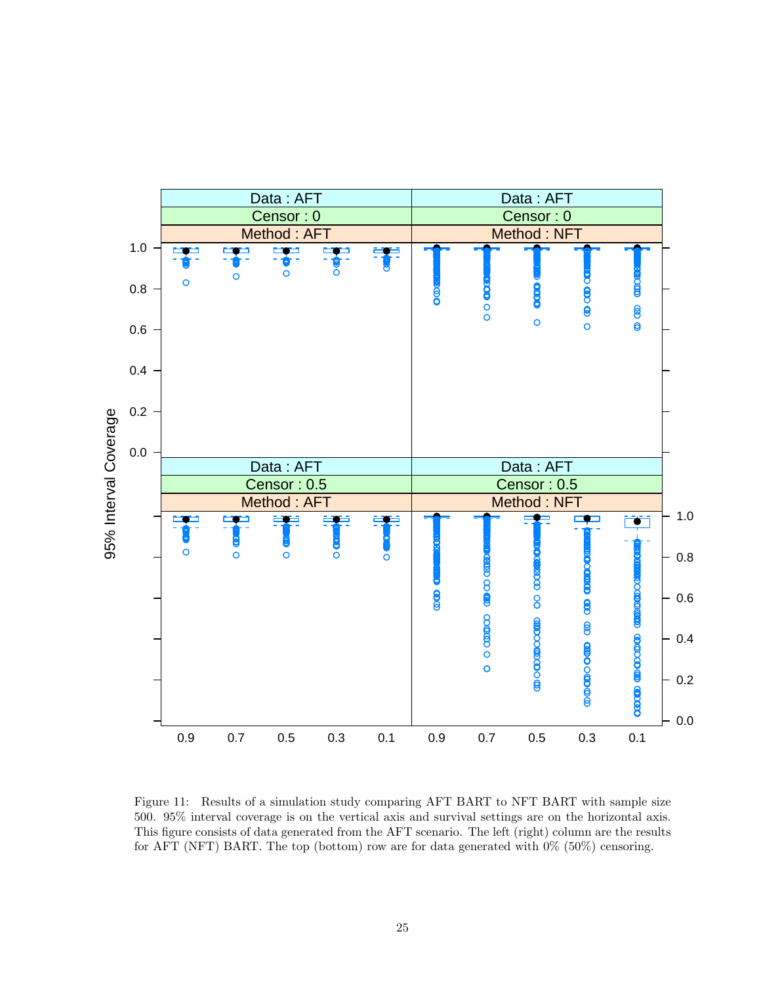

<span id="page-24-0"></span>Figure 11: Results of a simulation study comparing AFT BART to NFT BART with sample size 500. 95% interval coverage is on the vertical axis and survival settings are on the horizontal axis. This figure consists of data generated from the AFT scenario. The left (right) column are the results for AFT (NFT) BART. The top (bottom) row are for data generated with 0% (50%) censoring.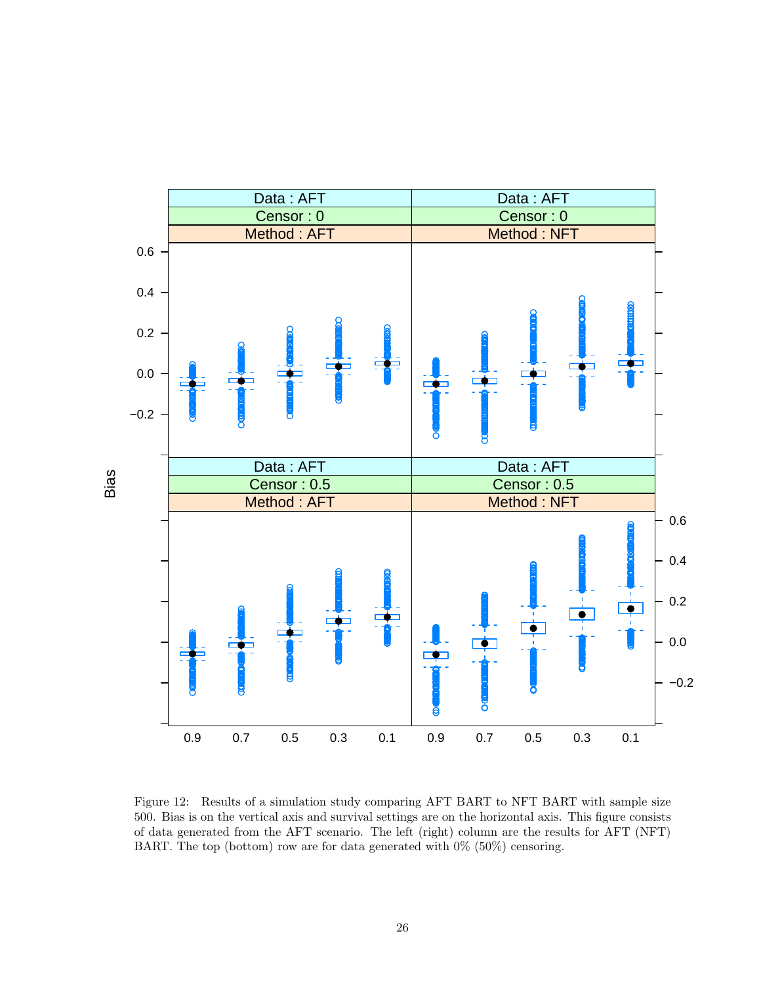

<span id="page-25-0"></span>Figure 12: Results of a simulation study comparing AFT BART to NFT BART with sample size 500. Bias is on the vertical axis and survival settings are on the horizontal axis. This figure consists of data generated from the AFT scenario. The left (right) column are the results for AFT (NFT) BART. The top (bottom) row are for data generated with  $0\%$  (50%) censoring.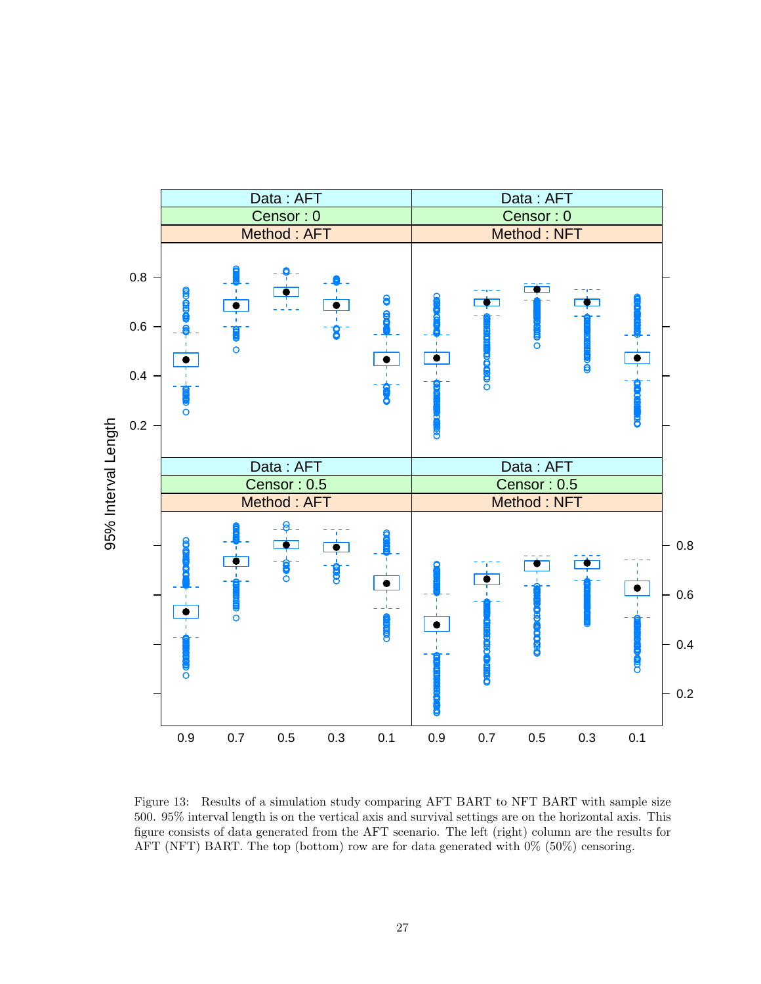

<span id="page-26-0"></span>Figure 13: Results of a simulation study comparing AFT BART to NFT BART with sample size 500. 95% interval length is on the vertical axis and survival settings are on the horizontal axis. This figure consists of data generated from the AFT scenario. The left (right) column are the results for AFT (NFT) BART. The top (bottom) row are for data generated with 0% (50%) censoring.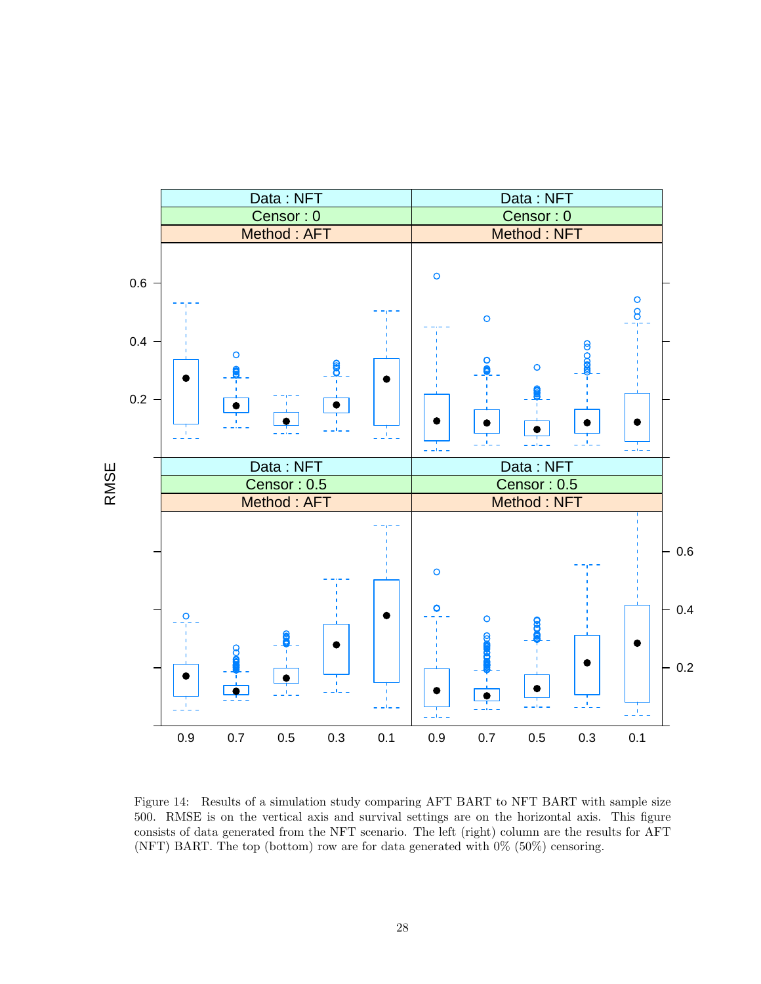

<span id="page-27-0"></span>Figure 14: Results of a simulation study comparing AFT BART to NFT BART with sample size 500. RMSE is on the vertical axis and survival settings are on the horizontal axis. This figure consists of data generated from the NFT scenario. The left (right) column are the results for AFT (NFT) BART. The top (bottom) row are for data generated with 0% (50%) censoring.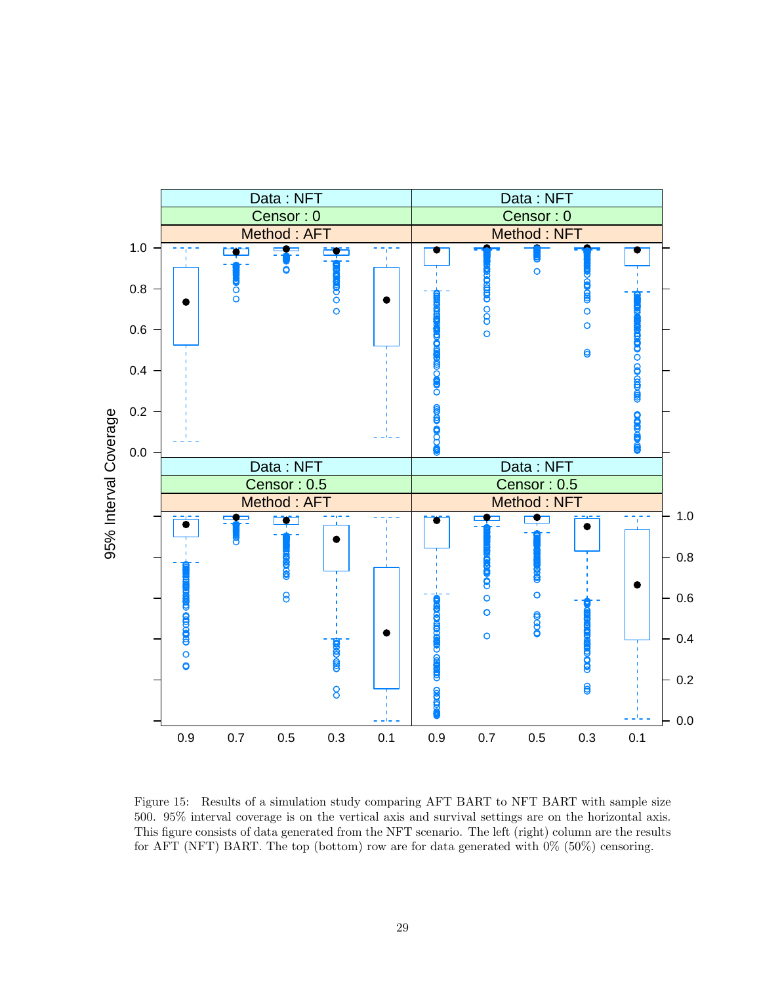

<span id="page-28-0"></span>Figure 15: Results of a simulation study comparing AFT BART to NFT BART with sample size 500. 95% interval coverage is on the vertical axis and survival settings are on the horizontal axis. This figure consists of data generated from the NFT scenario. The left (right) column are the results for AFT (NFT) BART. The top (bottom) row are for data generated with 0% (50%) censoring.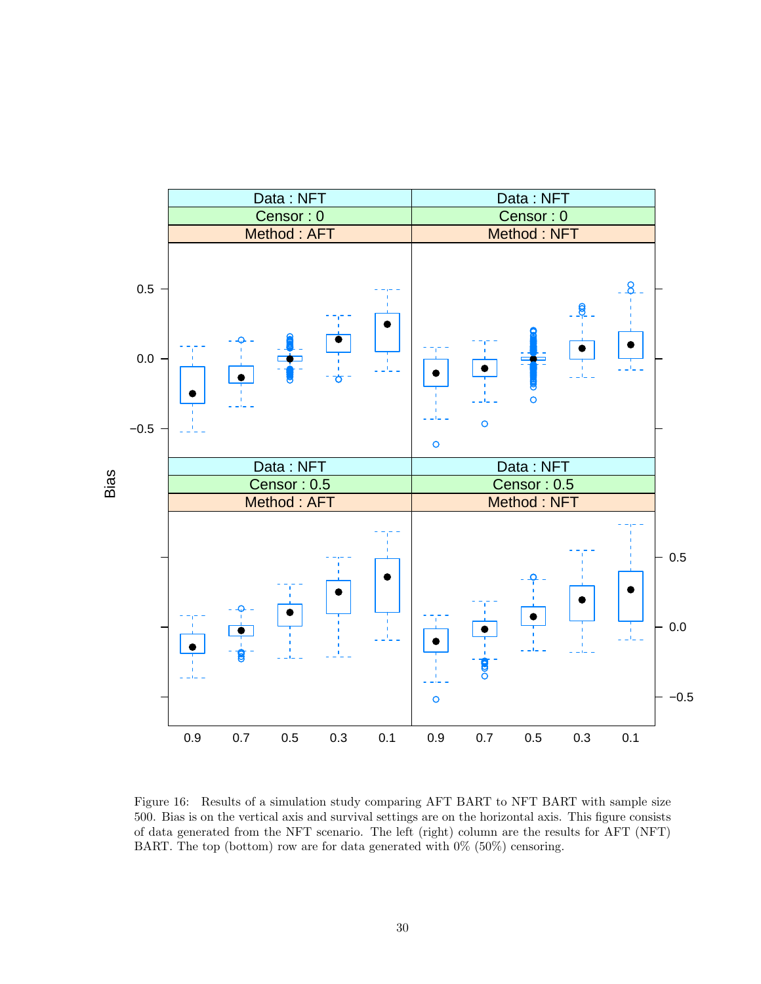

<span id="page-29-0"></span>Figure 16: Results of a simulation study comparing AFT BART to NFT BART with sample size 500. Bias is on the vertical axis and survival settings are on the horizontal axis. This figure consists of data generated from the NFT scenario. The left (right) column are the results for AFT (NFT) BART. The top (bottom) row are for data generated with  $0\%$  (50%) censoring.